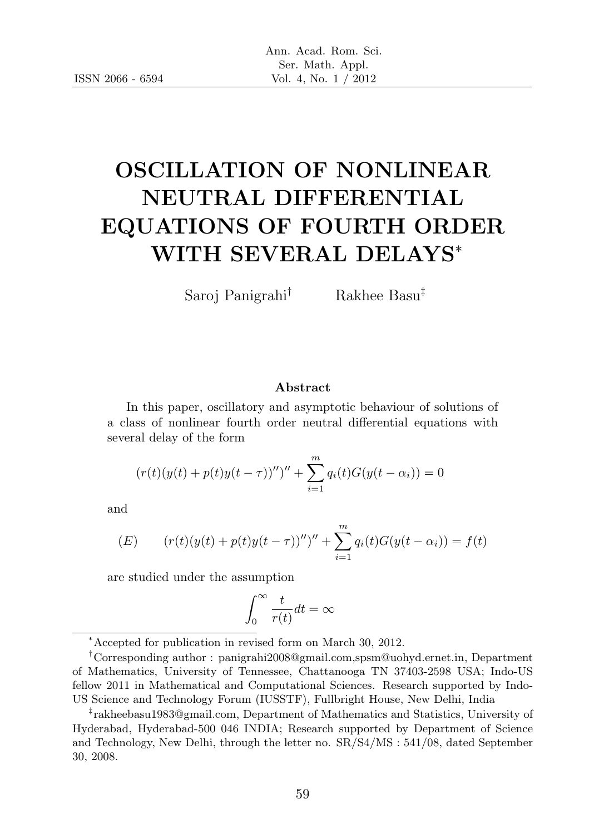# OSCILLATION OF NONLINEAR NEUTRAL DIFFERENTIAL EQUATIONS OF FOURTH ORDER WITH SEVERAL DELAYS<sup>∗</sup>

Saroj Panigrahi† Rakhee Basu‡

#### Abstract

In this paper, oscillatory and asymptotic behaviour of solutions of a class of nonlinear fourth order neutral differential equations with several delay of the form

$$
(r(t)(y(t) + p(t)y(t - \tau)))'' + \sum_{i=1}^{m} q_i(t)G(y(t - \alpha_i)) = 0
$$

and

(E) 
$$
(r(t)(y(t) + p(t)y(t - \tau))'')'' + \sum_{i=1}^{m} q_i(t)G(y(t - \alpha_i)) = f(t)
$$

are studied under the assumption

$$
\int_0^\infty \frac{t}{r(t)}dt = \infty
$$

<sup>∗</sup>Accepted for publication in revised form on March 30, 2012.

<sup>†</sup>Corresponding author : panigrahi2008@gmail.com,spsm@uohyd.ernet.in, Department of Mathematics, University of Tennessee, Chattanooga TN 37403-2598 USA; Indo-US fellow 2011 in Mathematical and Computational Sciences. Research supported by Indo-US Science and Technology Forum (IUSSTF), Fullbright House, New Delhi, India

<sup>‡</sup> rakheebasu1983@gmail.com, Department of Mathematics and Statistics, University of Hyderabad, Hyderabad-500 046 INDIA; Research supported by Department of Science and Technology, New Delhi, through the letter no. SR/S4/MS : 541/08, dated September 30, 2008.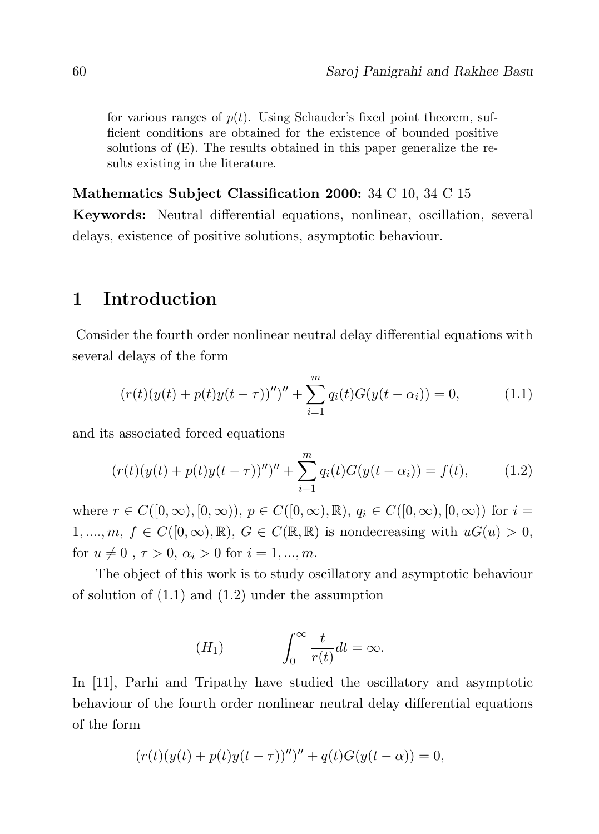for various ranges of  $p(t)$ . Using Schauder's fixed point theorem, sufficient conditions are obtained for the existence of bounded positive solutions of (E). The results obtained in this paper generalize the results existing in the literature.

#### Mathematics Subject Classification 2000: 34 C 10, 34 C 15

Keywords: Neutral differential equations, nonlinear, oscillation, several delays, existence of positive solutions, asymptotic behaviour.

## 1 Introduction

Consider the fourth order nonlinear neutral delay differential equations with several delays of the form

$$
(r(t)(y(t) + p(t)y(t - \tau))'')'' + \sum_{i=1}^{m} q_i(t)G(y(t - \alpha_i)) = 0,
$$
\n(1.1)

and its associated forced equations

$$
(r(t)(y(t) + p(t)y(t - \tau))'')'' + \sum_{i=1}^{m} q_i(t)G(y(t - \alpha_i)) = f(t),
$$
 (1.2)

where  $r \in C([0,\infty), [0,\infty))$ ,  $p \in C([0,\infty), \mathbb{R})$ ,  $q_i \in C([0,\infty), [0,\infty))$  for  $i =$ 1, ...,  $m, f \in C([0,\infty),\mathbb{R})$ ,  $G \in C(\mathbb{R},\mathbb{R})$  is nondecreasing with  $uG(u) > 0$ , for  $u \neq 0$ ,  $\tau > 0$ ,  $\alpha_i > 0$  for  $i = 1, ..., m$ .

The object of this work is to study oscillatory and asymptotic behaviour of solution of (1.1) and (1.2) under the assumption

$$
(H_1) \qquad \qquad \int_0^\infty \frac{t}{r(t)} dt = \infty.
$$

In [11], Parhi and Tripathy have studied the oscillatory and asymptotic behaviour of the fourth order nonlinear neutral delay differential equations of the form

$$
(r(t)(y(t) + p(t)y(t - \tau))'')'' + q(t)G(y(t - \alpha)) = 0,
$$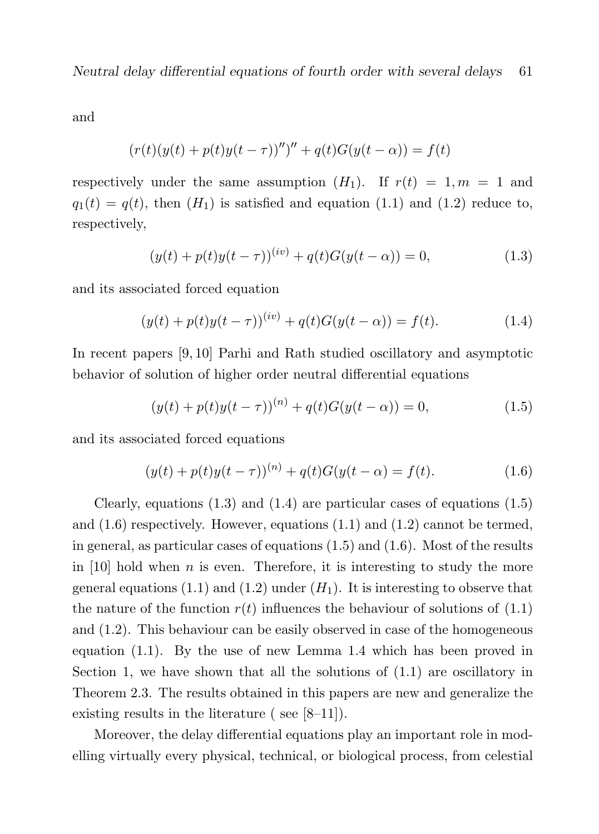Neutral delay differential equations of fourth order with several delays 61

and

$$
(r(t)(y(t) + p(t)y(t - \tau))'')'' + q(t)G(y(t - \alpha)) = f(t)
$$

respectively under the same assumption  $(H_1)$ . If  $r(t) = 1, m = 1$  and  $q_1(t) = q(t)$ , then  $(H_1)$  is satisfied and equation (1.1) and (1.2) reduce to, respectively,

$$
(y(t) + p(t)y(t - \tau))^{(iv)} + q(t)G(y(t - \alpha)) = 0,
$$
\n(1.3)

and its associated forced equation

$$
(y(t) + p(t)y(t - \tau))^{(iv)} + q(t)G(y(t - \alpha)) = f(t).
$$
\n(1.4)

In recent papers [9, 10] Parhi and Rath studied oscillatory and asymptotic behavior of solution of higher order neutral differential equations

$$
(y(t) + p(t)y(t - \tau))^{(n)} + q(t)G(y(t - \alpha)) = 0,
$$
\n(1.5)

and its associated forced equations

$$
(y(t) + p(t)y(t - \tau))^{(n)} + q(t)G(y(t - \alpha)) = f(t).
$$
\n(1.6)

Clearly, equations  $(1.3)$  and  $(1.4)$  are particular cases of equations  $(1.5)$ and  $(1.6)$  respectively. However, equations  $(1.1)$  and  $(1.2)$  cannot be termed, in general, as particular cases of equations (1.5) and (1.6). Most of the results in [10] hold when n is even. Therefore, it is interesting to study the more general equations (1.1) and (1.2) under  $(H_1)$ . It is interesting to observe that the nature of the function  $r(t)$  influences the behaviour of solutions of  $(1.1)$ and (1.2). This behaviour can be easily observed in case of the homogeneous equation (1.1). By the use of new Lemma 1.4 which has been proved in Section 1, we have shown that all the solutions of  $(1.1)$  are oscillatory in Theorem 2.3. The results obtained in this papers are new and generalize the existing results in the literature ( see [8–11]).

Moreover, the delay differential equations play an important role in modelling virtually every physical, technical, or biological process, from celestial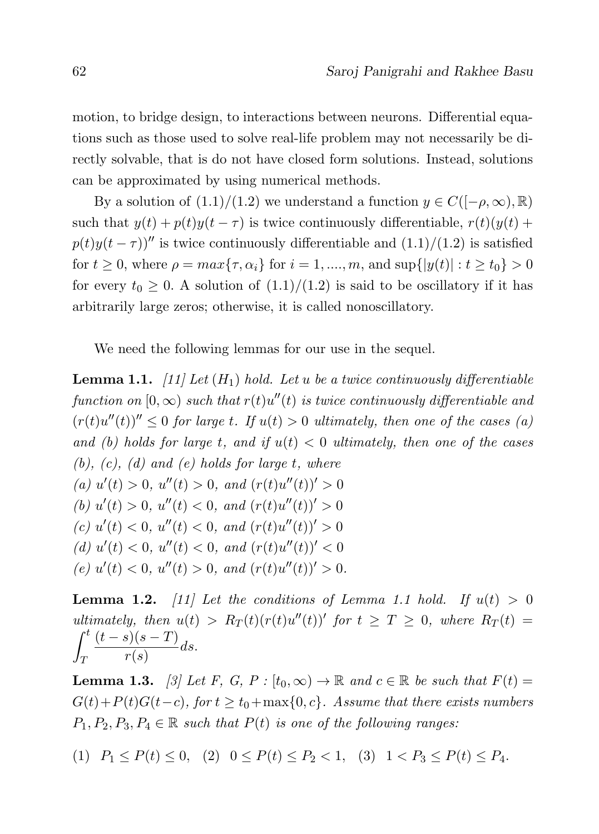motion, to bridge design, to interactions between neurons. Differential equations such as those used to solve real-life problem may not necessarily be directly solvable, that is do not have closed form solutions. Instead, solutions can be approximated by using numerical methods.

By a solution of  $(1.1)/(1.2)$  we understand a function  $y \in C([-\rho,\infty),\mathbb{R})$ such that  $y(t) + p(t)y(t - \tau)$  is twice continuously differentiable,  $r(t)(y(t) +$  $p(t)y(t-\tau)$ <sup>n</sup> is twice continuously differentiable and  $(1.1)/(1.2)$  is satisfied for  $t \ge 0$ , where  $\rho = max\{\tau, \alpha_i\}$  for  $i = 1, ..., m$ , and  $\sup\{|y(t)| : t \ge t_0\} > 0$ for every  $t_0 \geq 0$ . A solution of  $(1.1)/(1.2)$  is said to be oscillatory if it has arbitrarily large zeros; otherwise, it is called nonoscillatory.

We need the following lemmas for our use in the sequel.

**Lemma 1.1.** [11] Let  $(H_1)$  hold. Let u be a twice continuously differentiable function on  $[0,\infty)$  such that  $r(t)u''(t)$  is twice continuously differentiable and  $(r(t)u''(t))'' \leq 0$  for large t. If  $u(t) > 0$  ultimately, then one of the cases (a) and (b) holds for large t, and if  $u(t) < 0$  ultimately, then one of the cases  $(b)$ ,  $(c)$ ,  $(d)$  and  $(e)$  holds for large t, where (a)  $u'(t) > 0$ ,  $u''(t) > 0$ , and  $(r(t)u''(t))' > 0$ (b)  $u'(t) > 0$ ,  $u''(t) < 0$ , and  $(r(t)u''(t))' > 0$ (c)  $u'(t) < 0$ ,  $u''(t) < 0$ , and  $(r(t)u''(t))' > 0$ (d)  $u'(t) < 0$ ,  $u''(t) < 0$ , and  $(r(t)u''(t))' < 0$ (e)  $u'(t) < 0$ ,  $u''(t) > 0$ , and  $(r(t)u''(t))' > 0$ .

**Lemma 1.2.** [11] Let the conditions of Lemma 1.1 hold. If  $u(t) > 0$ ultimately, then  $u(t) > R_T(t)(r(t)u''(t))'$  for  $t \geq T \geq 0$ , where  $R_T(t) =$  $\int_0^t$ T  $(t-s)(s-T)$  $\frac{r(s)-1}{r(s)}ds.$ 

**Lemma 1.3.** [3] Let F, G, P :  $[t_0, \infty) \to \mathbb{R}$  and  $c \in \mathbb{R}$  be such that  $F(t) =$  $G(t)+P(t)G(t-c)$ , for  $t \geq t_0+\max\{0,c\}$ . Assume that there exists numbers  $P_1, P_2, P_3, P_4 \in \mathbb{R}$  such that  $P(t)$  is one of the following ranges:

$$
(1) \quad P_1 \le P(t) \le 0, \quad (2) \quad 0 \le P(t) \le P_2 < 1, \quad (3) \quad 1 < P_3 \le P(t) \le P_4.
$$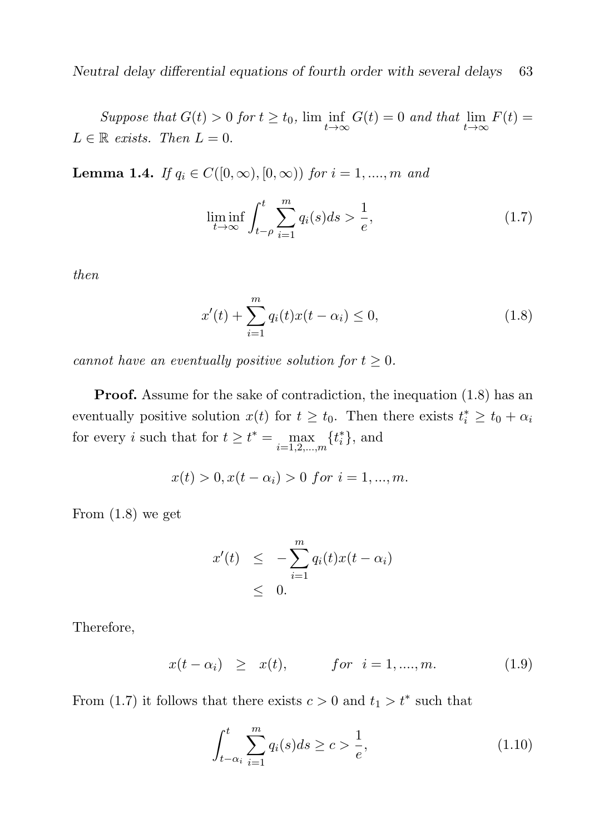Suppose that  $G(t) > 0$  for  $t \ge t_0$ ,  $\lim_{t \to \infty} G(t) = 0$  and that  $\lim_{t \to \infty} F(t) =$  $L \in \mathbb{R}$  exists. Then  $L = 0$ .

**Lemma 1.4.** If  $q_i \in C([0,\infty), [0,\infty))$  for  $i = 1, ..., m$  and

$$
\liminf_{t \to \infty} \int_{t-\rho}^{t} \sum_{i=1}^{m} q_i(s) ds > \frac{1}{e},\tag{1.7}
$$

then

$$
x'(t) + \sum_{i=1}^{m} q_i(t)x(t - \alpha_i) \le 0,
$$
\n(1.8)

cannot have an eventually positive solution for  $t \geq 0$ .

**Proof.** Assume for the sake of contradiction, the inequation  $(1.8)$  has an eventually positive solution  $x(t)$  for  $t \geq t_0$ . Then there exists  $t_i^* \geq t_0 + \alpha_i$ for every *i* such that for  $t \geq t^* = \max_{i=1,2,\dots,m} \{t_i^*\}$ , and

$$
x(t) > 0, x(t - \alpha_i) > 0 \text{ for } i = 1, ..., m.
$$

From (1.8) we get

$$
x'(t) \leq -\sum_{i=1}^{m} q_i(t)x(t-\alpha_i)
$$
  
\$\leq\$ 0.

Therefore,

$$
x(t - \alpha_i) \geq x(t),
$$
 for  $i = 1, ..., m.$  (1.9)

From (1.7) it follows that there exists  $c > 0$  and  $t_1 > t^*$  such that

$$
\int_{t-\alpha_i}^{t} \sum_{i=1}^{m} q_i(s) ds \ge c > \frac{1}{e},
$$
\n(1.10)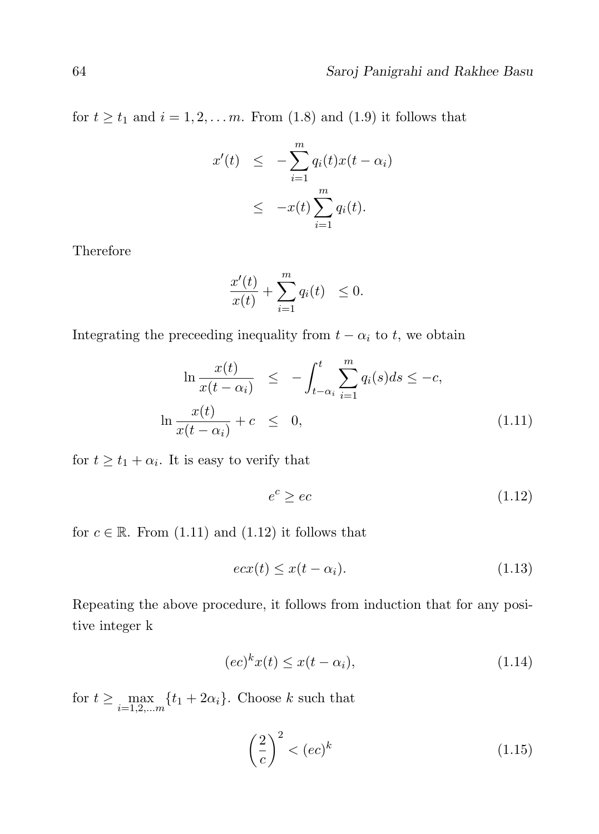for  $t \geq t_1$  and  $i = 1, 2, \ldots m$ . From (1.8) and (1.9) it follows that

$$
x'(t) \leq -\sum_{i=1}^{m} q_i(t)x(t - \alpha_i)
$$
  
 
$$
\leq -x(t) \sum_{i=1}^{m} q_i(t).
$$

Therefore

$$
\frac{x'(t)}{x(t)} + \sum_{i=1}^{m} q_i(t) \le 0.
$$

Integrating the preceeding inequality from  $t - \alpha_i$  to t, we obtain

$$
\ln \frac{x(t)}{x(t - \alpha_i)} \le -\int_{t-\alpha_i}^t \sum_{i=1}^m q_i(s)ds \le -c,
$$
  

$$
\ln \frac{x(t)}{x(t - \alpha_i)} + c \le 0,
$$
 (1.11)

for  $t \geq t_1 + \alpha_i$ . It is easy to verify that

$$
e^c \ge ec \tag{1.12}
$$

for  $c \in \mathbb{R}$ . From (1.11) and (1.12) it follows that

$$
e c x(t) \le x(t - \alpha_i). \tag{1.13}
$$

Repeating the above procedure, it follows from induction that for any positive integer k

$$
(ec)^k x(t) \le x(t - \alpha_i), \tag{1.14}
$$

for  $t \ge \max_{i=1,2,...,n} \{t_1 + 2\alpha_i\}$ . Choose k such that

$$
\left(\frac{2}{c}\right)^2 < (ec)^k \tag{1.15}
$$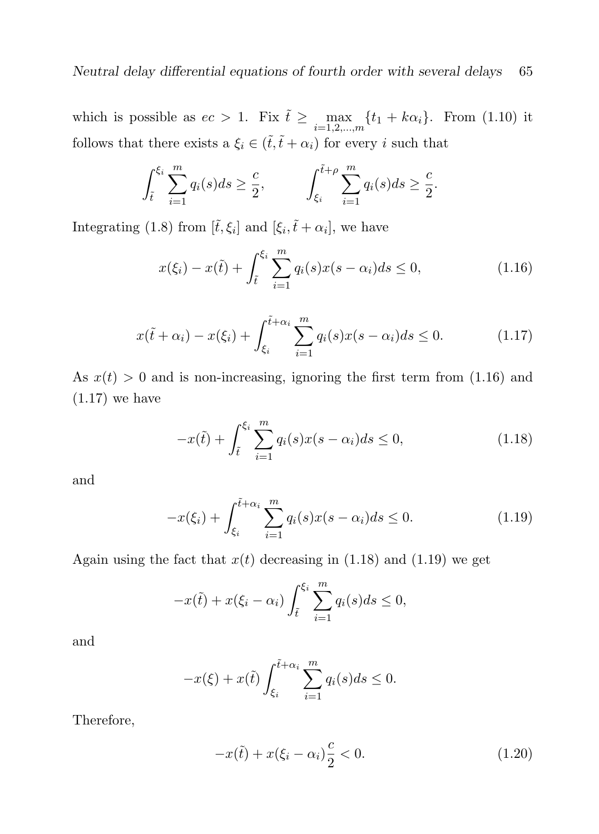which is possible as  $ec > 1$ . Fix  $\tilde{t} \ge \max_{i=1,2,\dots,m} \{t_1 + k\alpha_i\}$ . From (1.10) it follows that there exists a  $\xi_i \in (\tilde{t}, \tilde{t} + \alpha_i)$  for every i such that

$$
\int_{\tilde{t}}^{\xi_i} \sum_{i=1}^m q_i(s) ds \ge \frac{c}{2}, \qquad \int_{\xi_i}^{\tilde{t}+\rho} \sum_{i=1}^m q_i(s) ds \ge \frac{c}{2}.
$$

Integrating (1.8) from  $[\tilde{t}, \xi_i]$  and  $[\xi_i, \tilde{t} + \alpha_i]$ , we have

$$
x(\xi_i) - x(\tilde{t}) + \int_{\tilde{t}}^{\xi_i} \sum_{i=1}^m q_i(s) x(s - \alpha_i) ds \le 0,
$$
\n(1.16)

$$
x(\tilde{t} + \alpha_i) - x(\xi_i) + \int_{\xi_i}^{\tilde{t} + \alpha_i} \sum_{i=1}^m q_i(s) x(s - \alpha_i) ds \le 0.
$$
 (1.17)

As  $x(t) > 0$  and is non-increasing, ignoring the first term from (1.16) and (1.17) we have

$$
-x(\tilde{t}) + \int_{\tilde{t}}^{\xi_i} \sum_{i=1}^{m} q_i(s) x(s - \alpha_i) ds \le 0,
$$
\n(1.18)

and

$$
-x(\xi_i) + \int_{\xi_i}^{\tilde{t}+\alpha_i} \sum_{i=1}^m q_i(s)x(s-\alpha_i)ds \le 0.
$$
 (1.19)

Again using the fact that  $x(t)$  decreasing in (1.18) and (1.19) we get

$$
-x(\tilde{t}) + x(\xi_i - \alpha_i) \int_{\tilde{t}}^{\xi_i} \sum_{i=1}^m q_i(s) ds \le 0,
$$

and

$$
-x(\xi) + x(\tilde{t}) \int_{\xi_i}^{\tilde{t}+\alpha_i} \sum_{i=1}^m q_i(s) ds \le 0.
$$

Therefore,

$$
-x(\tilde{t}) + x(\xi_i - \alpha_i) \frac{c}{2} < 0. \tag{1.20}
$$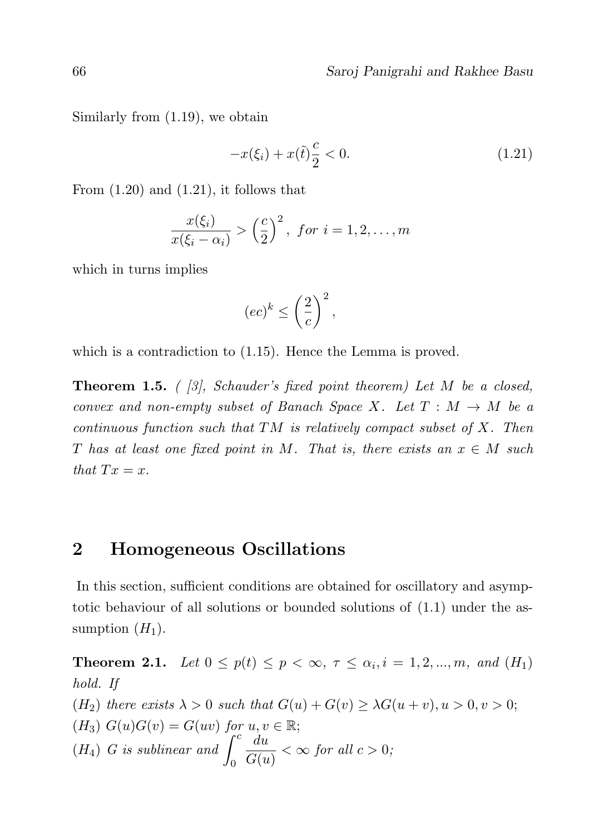Similarly from (1.19), we obtain

$$
-x(\xi_i) + x(\tilde{t})\frac{c}{2} < 0. \tag{1.21}
$$

From  $(1.20)$  and  $(1.21)$ , it follows that

$$
\frac{x(\xi_i)}{x(\xi_i - \alpha_i)} > \left(\frac{c}{2}\right)^2, \text{ for } i = 1, 2, \dots, m
$$

which in turns implies

$$
(ec)^k \leq \left(\frac{2}{c}\right)^2,
$$

which is a contradiction to  $(1.15)$ . Hence the Lemma is proved.

**Theorem 1.5.** (  $\beta$ ), Schauder's fixed point theorem) Let M be a closed, convex and non-empty subset of Banach Space X. Let  $T : M \to M$  be a continuous function such that  $TM$  is relatively compact subset of X. Then T has at least one fixed point in M. That is, there exists an  $x \in M$  such that  $Tx = x$ .

#### 2 Homogeneous Oscillations

In this section, sufficient conditions are obtained for oscillatory and asymptotic behaviour of all solutions or bounded solutions of (1.1) under the assumption  $(H_1)$ .

**Theorem 2.1.** Let  $0 \le p(t) \le p < \infty$ ,  $\tau \le \alpha_i, i = 1, 2, ..., m$ , and  $(H_1)$ hold. If (H<sub>2</sub>) there exists  $\lambda > 0$  such that  $G(u) + G(v) \geq \lambda G(u + v), u > 0, v > 0;$  $(H_3)$   $G(u)G(v) = G(uv)$  for  $u, v \in \mathbb{R}$ ;  $(H_4)$  G is sublinear and  $\int_0^c$  $\boldsymbol{0}$ du  $\frac{du}{G(u)} < \infty$  for all  $c > 0$ ;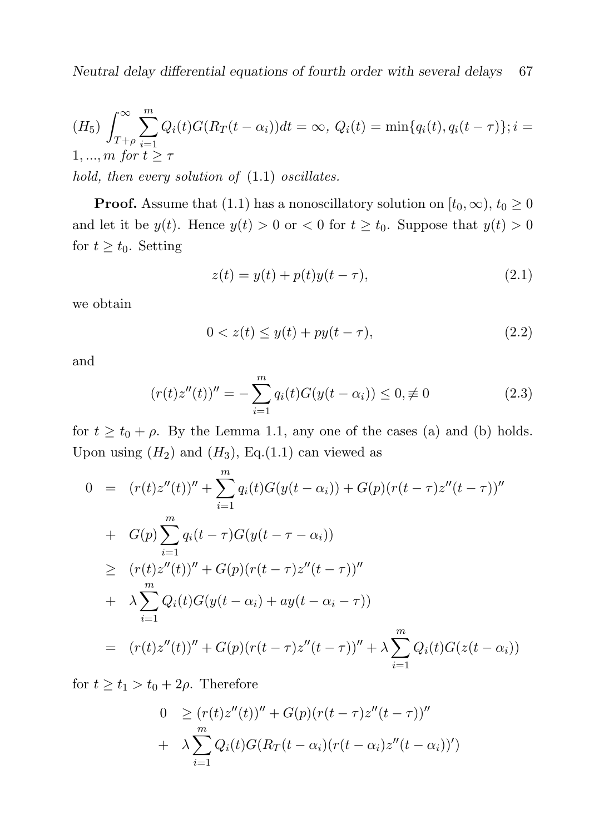$$
(H_5)\int_{T+\rho}^{\infty}\sum_{i=1}^{m}Q_i(t)G(R_T(t-\alpha_i))dt = \infty, \ Q_i(t) = \min\{q_i(t), q_i(t-\tau)\}; i = 1,...,m \text{ for } t \geq \tau
$$
  
hold, then every solution of (1.1) oscillates.

**Proof.** Assume that (1.1) has a nonoscillatory solution on  $[t_0, \infty)$ ,  $t_0 \ge 0$ and let it be  $y(t)$ . Hence  $y(t) > 0$  or  $0 < \infty$  for  $t \geq t_0$ . Suppose that  $y(t) > 0$ for  $t \geq t_0$ . Setting

$$
z(t) = y(t) + p(t)y(t - \tau),
$$
\n(2.1)

we obtain

$$
0 < z(t) \le y(t) + py(t - \tau), \tag{2.2}
$$

and

$$
(r(t)z''(t))'' = -\sum_{i=1}^{m} q_i(t)G(y(t-\alpha_i)) \le 0, \neq 0
$$
 (2.3)

for  $t \ge t_0 + \rho$ . By the Lemma 1.1, any one of the cases (a) and (b) holds. Upon using  $(H_2)$  and  $(H_3)$ , Eq.(1.1) can viewed as

$$
0 = (r(t)z''(t))'' + \sum_{i=1}^{m} q_i(t)G(y(t-\alpha_i)) + G(p)(r(t-\tau)z''(t-\tau))''
$$
  
+ 
$$
G(p)\sum_{i=1}^{m} q_i(t-\tau)G(y(t-\tau-\alpha_i))
$$
  

$$
\geq (r(t)z''(t))'' + G(p)(r(t-\tau)z''(t-\tau))''
$$
  
+ 
$$
\lambda \sum_{i=1}^{m} Q_i(t)G(y(t-\alpha_i) + ay(t-\alpha_i-\tau))
$$
  
= 
$$
(r(t)z''(t))'' + G(p)(r(t-\tau)z''(t-\tau))'' + \lambda \sum_{i=1}^{m} Q_i(t)G(z(t-\alpha_i))
$$

for  $t \geq t_1 > t_0 + 2\rho$ . Therefore

$$
0 \ge (r(t)z''(t))'' + G(p)(r(t-\tau)z''(t-\tau))''
$$
  
+ 
$$
\lambda \sum_{i=1}^{m} Q_i(t)G(R_T(t-\alpha_i)(r(t-\alpha_i)z''(t-\alpha_i))')
$$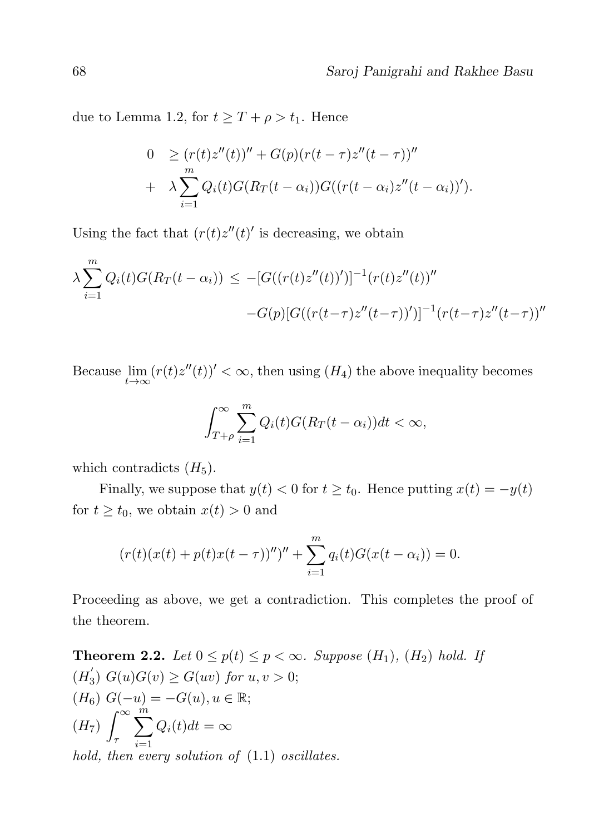due to Lemma 1.2, for  $t \geq T + \rho > t_1$ . Hence

$$
0 \geq (r(t)z''(t))'' + G(p)(r(t-\tau)z''(t-\tau))''
$$
  
+ 
$$
\lambda \sum_{i=1}^{m} Q_i(t)G(R_T(t-\alpha_i))G((r(t-\alpha_i)z''(t-\alpha_i))').
$$

Using the fact that  $(r(t)z''(t)')$  is decreasing, we obtain

$$
\lambda \sum_{i=1}^{m} Q_i(t) G(R_T(t - \alpha_i)) \le -[G((r(t)z''(t))')]^{-1} (r(t)z''(t))''
$$
  
-
$$
-G(p)[G((r(t-\tau)z''(t-\tau))')]^{-1} (r(t-\tau)z''(t-\tau))''
$$

Because  $\lim_{t\to\infty} (r(t)z''(t))' < \infty$ , then using  $(H_4)$  the above inequality becomes

$$
\int_{T+\rho}^{\infty} \sum_{i=1}^{m} Q_i(t) G(R_T(t-\alpha_i)) dt < \infty,
$$

which contradicts  $(H_5)$ .

Finally, we suppose that  $y(t) < 0$  for  $t \ge t_0$ . Hence putting  $x(t) = -y(t)$ for  $t \ge t_0$ , we obtain  $x(t) > 0$  and

$$
(r(t)(x(t) + p(t)x(t - \tau)))'' + \sum_{i=1}^{m} q_i(t)G(x(t - \alpha_i)) = 0.
$$

Proceeding as above, we get a contradiction. This completes the proof of the theorem.

**Theorem 2.2.** Let  $0 \leq p(t) \leq p < \infty$ . Suppose  $(H_1)$ ,  $(H_2)$  hold. If  $(H_3)$  $G_3) G(u)G(v) \ge G(uv)$  for  $u, v > 0;$ ( $H_6$ )  $G(-u) = -G(u)$ ,  $u \in \mathbb{R}$ ;  $(H_7)\int^{\infty}$ τ  $\sum_{i=1}^{m}$  $i=1$  $Q_i(t)dt = \infty$ hold, then every solution of  $(1.1)$  oscillates.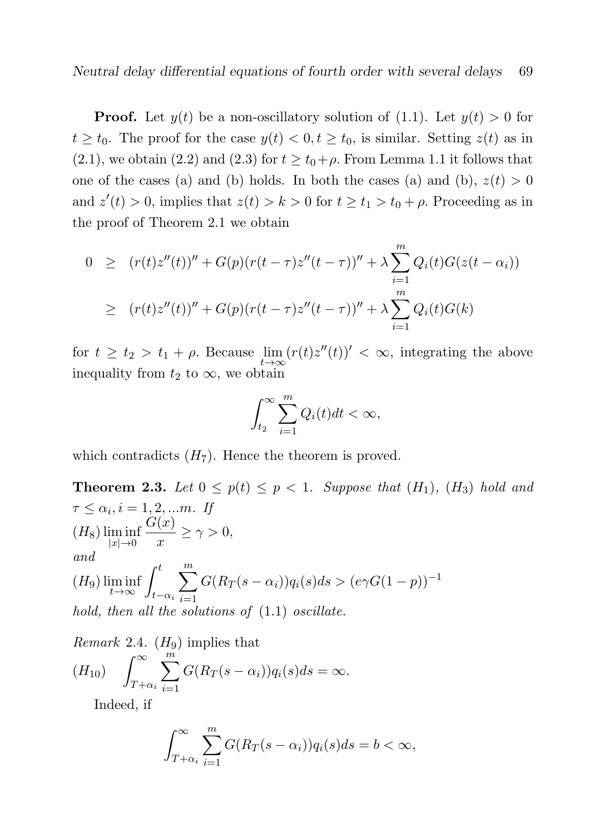**Proof.** Let  $y(t)$  be a non-oscillatory solution of (1.1). Let  $y(t) > 0$  for  $t \geq t_0$ . The proof for the case  $y(t) < 0, t \geq t_0$ , is similar. Setting  $z(t)$  as in  $(2.1)$ , we obtain  $(2.2)$  and  $(2.3)$  for  $t \ge t_0 + \rho$ . From Lemma 1.1 it follows that one of the cases (a) and (b) holds. In both the cases (a) and (b),  $z(t) > 0$ and  $z'(t) > 0$ , implies that  $z(t) > k > 0$  for  $t \ge t_1 > t_0 + \rho$ . Proceeding as in the proof of Theorem 2.1 we obtain

$$
0 \ge (r(t)z''(t))'' + G(p)(r(t-\tau)z''(t-\tau))'' + \lambda \sum_{i=1}^{m} Q_i(t)G(z(t-\alpha_i))
$$
  
 
$$
\ge (r(t)z''(t))'' + G(p)(r(t-\tau)z''(t-\tau))'' + \lambda \sum_{i=1}^{m} Q_i(t)G(k)
$$

for  $t \geq t_2 > t_1 + \rho$ . Because  $\lim_{t \to \infty} (r(t)z''(t))' < \infty$ , integrating the above inequality from  $t_2$  to  $\infty$ , we obtain

$$
\int_{t_2}^{\infty} \sum_{i=1}^{m} Q_i(t) dt < \infty,
$$

which contradicts  $(H_7)$ . Hence the theorem is proved.

**Theorem 2.3.** Let  $0 \leq p(t) \leq p < 1$ . Suppose that  $(H_1)$ ,  $(H_3)$  hold and  $\tau \leq \alpha_i, i = 1, 2, \dots m$ . If  $(H_8)$   $\liminf_{|x|\to 0}$  $G(x)$  $\frac{f^{(x)}}{x} \geq \gamma > 0,$ and  $(H_9) \liminf_{t \to \infty} \int_{t-\alpha_i}^t$  $\sum_{ }^{\infty}$  $i=1$  $G(R_T(s - \alpha_i))q_i(s)ds > (e\gamma G(1 - p))^{-1}$ hold, then all the solutions of  $(1.1)$  oscillate.

*Remark* 2.4. 
$$
(H_9)
$$
 implies that  
\n $(H_{10})$   $\int_{T+\alpha_i}^{\infty} \sum_{i=1}^{m} G(R_T(s-\alpha_i))q_i(s)ds = \infty.$ 

Indeed, if

$$
\int_{T+\alpha_i}^{\infty} \sum_{i=1}^{m} G(R_T(s-\alpha_i))q_i(s)ds = b < \infty,
$$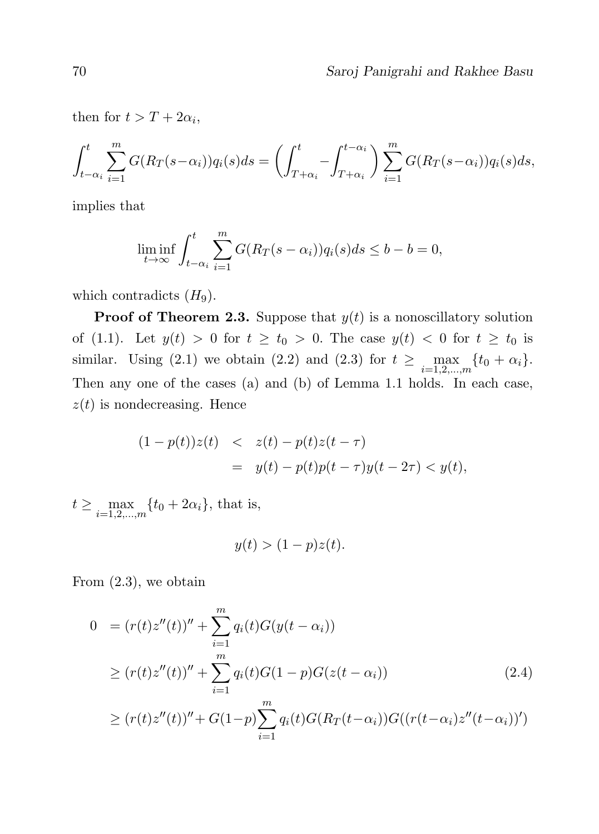then for  $t > T + 2\alpha_i$ ,

$$
\int_{t-\alpha_i}^t \sum_{i=1}^m G(R_T(s-\alpha_i))q_i(s)ds = \left(\int_{T+\alpha_i}^t - \int_{T+\alpha_i}^{t-\alpha_i} \right) \sum_{i=1}^m G(R_T(s-\alpha_i))q_i(s)ds,
$$

implies that

$$
\liminf_{t \to \infty} \int_{t-\alpha_i}^t \sum_{i=1}^m G(R_T(s-\alpha_i))q_i(s)ds \le b - b = 0,
$$

which contradicts  $(H_9)$ .

**Proof of Theorem 2.3.** Suppose that  $y(t)$  is a nonoscillatory solution of (1.1). Let  $y(t) > 0$  for  $t \ge t_0 > 0$ . The case  $y(t) < 0$  for  $t \ge t_0$  is similar. Using (2.1) we obtain (2.2) and (2.3) for  $t \ge \max_{i=1,2,\dots,m} \{t_0 + \alpha_i\}.$ Then any one of the cases (a) and (b) of Lemma 1.1 holds. In each case,  $z(t)$  is nondecreasing. Hence

$$
(1 - p(t))z(t) < z(t) - p(t)z(t - \tau) = y(t) - p(t)p(t - \tau)y(t - 2\tau) < y(t),
$$

 $t \ge \max_{i=1,2,...,m} \{t_0 + 2\alpha_i\}$ , that is,

$$
y(t) > (1 - p)z(t).
$$

From (2.3), we obtain

$$
0 = (r(t)z''(t))'' + \sum_{i=1}^{m} q_i(t)G(y(t - \alpha_i))
$$
  
\n
$$
\ge (r(t)z''(t))'' + \sum_{i=1}^{m} q_i(t)G(1 - p)G(z(t - \alpha_i))
$$
  
\n
$$
\ge (r(t)z''(t))'' + G(1-p)\sum_{i=1}^{m} q_i(t)G(R_T(t - \alpha_i))G((r(t - \alpha_i)z''(t - \alpha_i))')
$$
\n(2.4)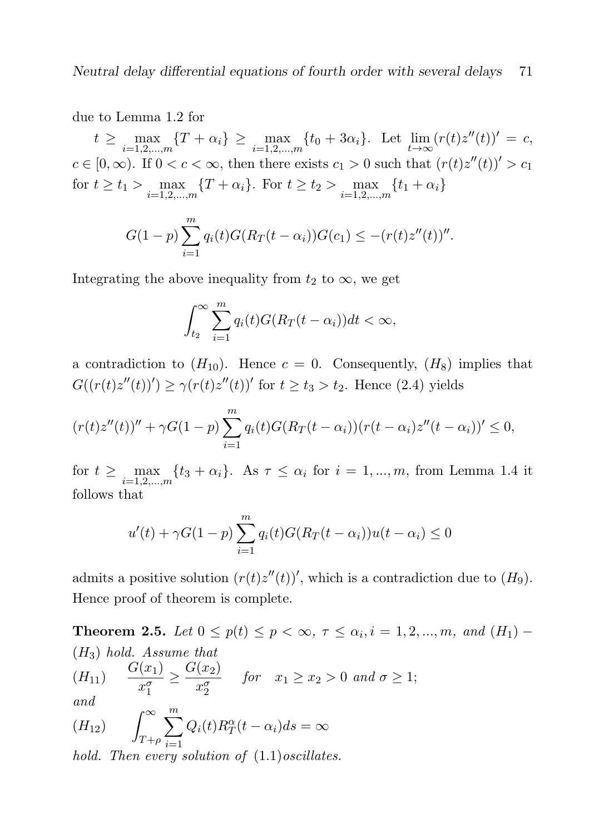due to Lemma 1.2 for

 $t \ge \max_{i=1,2,...,m} \{T + \alpha_i\} \ge \max_{i=1,2,...,m} \{t_0 + 3\alpha_i\}.$  Let  $\lim_{t \to \infty} (r(t)z''(t))' = c$ ,  $c \in [0, \infty)$ . If  $0 < c < \infty$ , then there exists  $c_1 > 0$  such that  $(r(t)z''(t))' > c_1$ for  $t \ge t_1 > \max_{i=1,2,...,m} \{T + \alpha_i\}$ . For  $t \ge t_2 > \max_{i=1,2,...,m} \{t_1 + \alpha_i\}$ 

$$
G(1-p)\sum_{i=1}^{m}q_i(t)G(R_T(t-\alpha_i))G(c_1) \leq -(r(t)z''(t))''.
$$

Integrating the above inequality from  $t_2$  to  $\infty$ , we get

$$
\int_{t_2}^{\infty} \sum_{i=1}^{m} q_i(t) G(R_T(t-\alpha_i)) dt < \infty,
$$

a contradiction to  $(H_{10})$ . Hence  $c = 0$ . Consequently,  $(H_8)$  implies that  $G((r(t)z''(t))') \geq \gamma(r(t)z''(t))'$  for  $t \geq t_3 > t_2$ . Hence (2.4) yields

$$
(r(t)z''(t))'' + \gamma G(1-p) \sum_{i=1}^{m} q_i(t)G(R_T(t-\alpha_i))(r(t-\alpha_i)z''(t-\alpha_i))' \leq 0,
$$

for  $t \ge \max_{i=1,2,\dots,m} \{t_3 + \alpha_i\}$ . As  $\tau \le \alpha_i$  for  $i = 1, ..., m$ , from Lemma 1.4 it follows that

$$
u'(t) + \gamma G(1 - p) \sum_{i=1}^{m} q_i(t) G(R_T(t - \alpha_i))u(t - \alpha_i) \le 0
$$

admits a positive solution  $(r(t)z''(t))'$ , which is a contradiction due to  $(H_9)$ . Hence proof of theorem is complete.

**Theorem 2.5.** Let  $0 \le p(t) \le p < \infty$ ,  $\tau \le \alpha_i$ ,  $i = 1, 2, ..., m$ , and  $(H_1)$  $(H_3)$  hold. Assume that  $(H_{11})$  $G(x_1)$  $x_1^{\sigma}$  $\geq \frac{G(x_2)}{g}$  $x_2^{\sigma}$ for  $x_1 \ge x_2 > 0$  and  $\sigma \ge 1$ ; and  $(H_{12})$  $\int^{\infty}$  $T + \rho$  $\sum_{ }^m$  $i=1$  $Q_i(t)R_T^{\alpha}(t-\alpha_i)ds=\infty$ 

hold. Then every solution of  $(1.1)$ oscillates.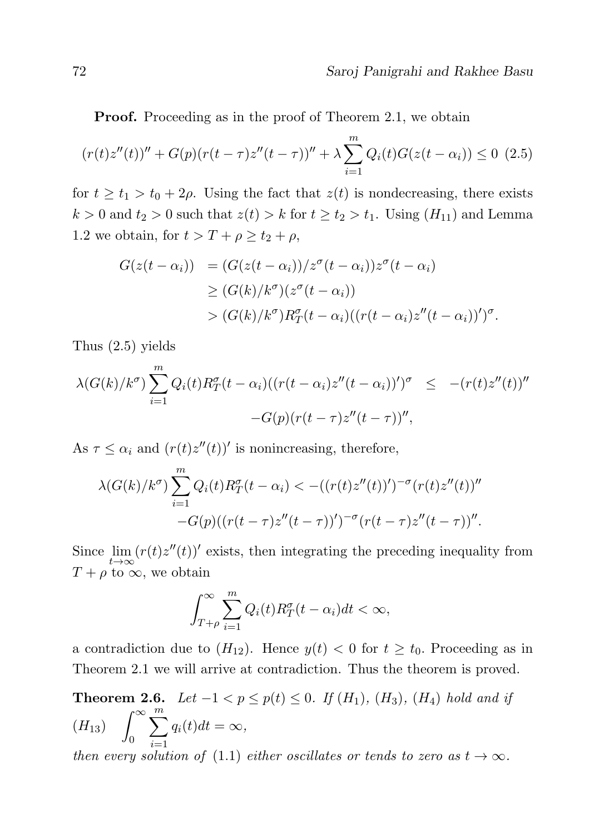.

**Proof.** Proceeding as in the proof of Theorem 2.1, we obtain

$$
(r(t)z''(t))'' + G(p)(r(t-\tau)z''(t-\tau))'' + \lambda \sum_{i=1}^{m} Q_i(t)G(z(t-\alpha_i)) \le 0
$$
 (2.5)

for  $t \geq t_1 > t_0 + 2\rho$ . Using the fact that  $z(t)$  is nondecreasing, there exists  $k > 0$  and  $t_2 > 0$  such that  $z(t) > k$  for  $t \ge t_2 > t_1$ . Using  $(H_{11})$  and Lemma 1.2 we obtain, for  $t > T + \rho \ge t_2 + \rho$ ,

$$
G(z(t - \alpha_i)) = (G(z(t - \alpha_i))/z^{\sigma}(t - \alpha_i))z^{\sigma}(t - \alpha_i)
$$
  
\n
$$
\geq (G(k)/k^{\sigma})(z^{\sigma}(t - \alpha_i))
$$
  
\n
$$
> (G(k)/k^{\sigma})R_T^{\sigma}(t - \alpha_i)((r(t - \alpha_i)z''(t - \alpha_i))')^{\sigma}
$$

Thus (2.5) yields

$$
\lambda(G(k)/k^{\sigma})\sum_{i=1}^{m}Q_{i}(t)R_{T}^{\sigma}(t-\alpha_{i})((r(t-\alpha_{i})z''(t-\alpha_{i}))')^{\sigma} \leq -(r(t)z''(t))''
$$

$$
-G(p)(r(t-\tau)z''(t-\tau))'',
$$

As  $\tau \leq \alpha_i$  and  $(r(t)z''(t))'$  is nonincreasing, therefore,

$$
\lambda(G(k)/k^{\sigma}) \sum_{i=1}^{m} Q_i(t) R_T^{\sigma}(t - \alpha_i) < -((r(t)z''(t))')^{-\sigma} (r(t)z''(t))'' -G(p)((r(t-\tau)z''(t-\tau))')^{-\sigma} (r(t-\tau)z''(t-\tau))''.
$$

Since  $\lim_{t\to\infty} (r(t)z''(t))'$  exists, then integrating the preceding inequality from  $T + \rho$  to  $\infty$ , we obtain

$$
\int_{T+\rho}^{\infty} \sum_{i=1}^{m} Q_i(t) R_T^{\sigma}(t-\alpha_i) dt < \infty,
$$

a contradiction due to  $(H_{12})$ . Hence  $y(t) < 0$  for  $t \ge t_0$ . Proceeding as in Theorem 2.1 we will arrive at contradiction. Thus the theorem is proved.

**Theorem 2.6.** Let  $-1 < p ≤ p(t) ≤ 0$ . If  $(H_1)$ ,  $(H_3)$ ,  $(H_4)$  hold and if  $(H_{13})$   $\int^{\infty}$ 0  $\sum_{ }^{m}$  $i=1$  $q_i(t)dt = \infty,$ 

then every solution of (1.1) either oscillates or tends to zero as  $t \to \infty$ .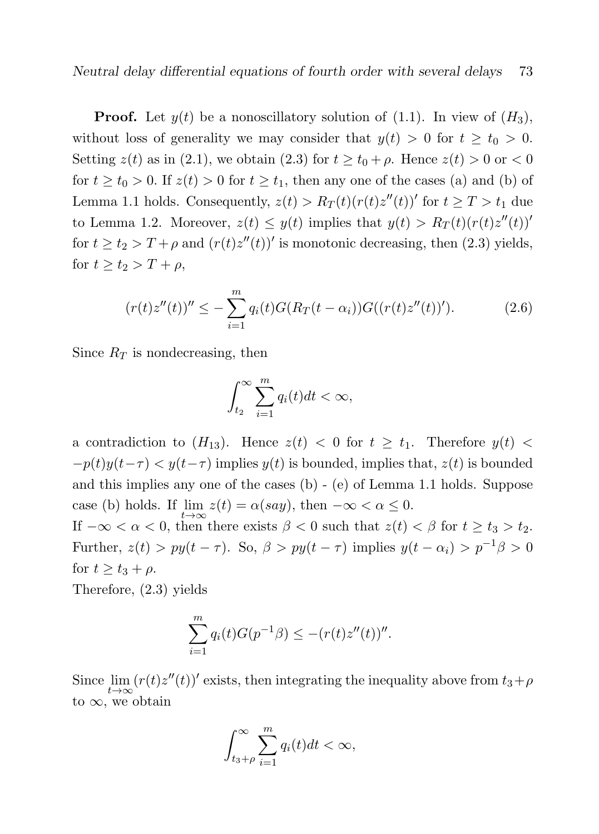**Proof.** Let  $y(t)$  be a nonoscillatory solution of (1.1). In view of  $(H_3)$ , without loss of generality we may consider that  $y(t) > 0$  for  $t \ge t_0 > 0$ . Setting  $z(t)$  as in (2.1), we obtain (2.3) for  $t \ge t_0 + \rho$ . Hence  $z(t) > 0$  or  $\lt 0$ for  $t \ge t_0 > 0$ . If  $z(t) > 0$  for  $t \ge t_1$ , then any one of the cases (a) and (b) of Lemma 1.1 holds. Consequently,  $z(t) > R_T(t)(r(t)z''(t))'$  for  $t \geq T > t_1$  due to Lemma 1.2. Moreover,  $z(t) \leq y(t)$  implies that  $y(t) > R_T(t)(r(t)z''(t))'$ for  $t \ge t_2 > T + \rho$  and  $(r(t)z''(t))'$  is monotonic decreasing, then (2.3) yields, for  $t \ge t_2 > T + \rho$ ,

$$
(r(t)z''(t))'' \leq -\sum_{i=1}^{m} q_i(t)G(R_T(t-\alpha_i))G((r(t)z''(t))').
$$
 (2.6)

Since  $R_T$  is nondecreasing, then

$$
\int_{t_2}^{\infty} \sum_{i=1}^{m} q_i(t)dt < \infty,
$$

a contradiction to  $(H_{13})$ . Hence  $z(t) < 0$  for  $t \geq t_1$ . Therefore  $y(t) <$  $-p(t)y(t-\tau) < y(t-\tau)$  implies  $y(t)$  is bounded, implies that,  $z(t)$  is bounded and this implies any one of the cases (b) - (e) of Lemma 1.1 holds. Suppose case (b) holds. If  $\lim_{t \to \infty} z(t) = \alpha(say)$ , then  $-\infty < \alpha \leq 0$ . If  $-\infty < \alpha < 0$ , then there exists  $\beta < 0$  such that  $z(t) < \beta$  for  $t \ge t_3 > t_2$ .

Further,  $z(t) > py(t - \tau)$ . So,  $\beta > py(t - \tau)$  implies  $y(t - \alpha_i) > p^{-1}\beta > 0$ for  $t \geq t_3 + \rho$ .

Therefore, (2.3) yields

$$
\sum_{i=1}^{m} q_i(t) G(p^{-1}\beta) \le -(r(t)z''(t))''.
$$

Since  $\lim_{t\to\infty} (r(t)z''(t))'$  exists, then integrating the inequality above from  $t_3+\rho$ to  $\infty$ , we obtain

$$
\int_{t_3+\rho}^{\infty}\sum_{i=1}^m q_i(t)dt < \infty,
$$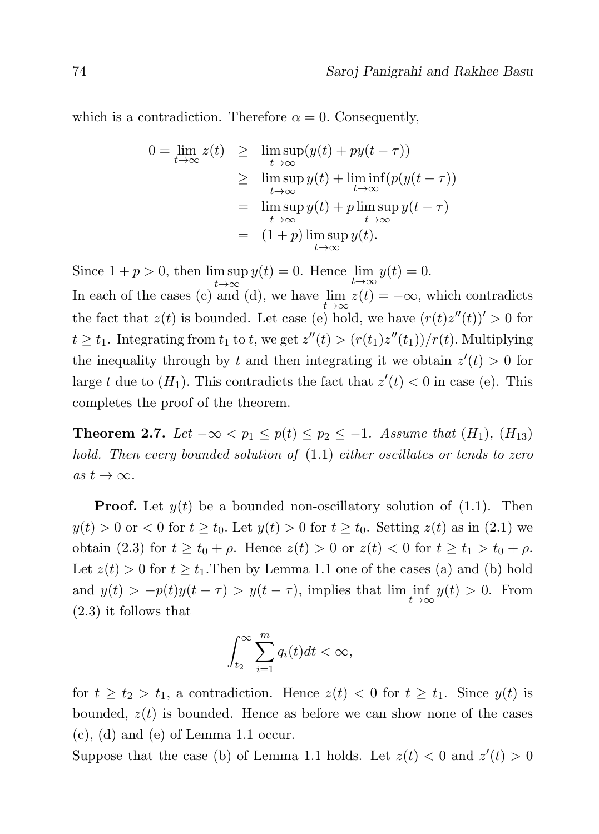which is a contradiction. Therefore  $\alpha = 0$ . Consequently,

$$
0 = \lim_{t \to \infty} z(t) \geq \limsup_{t \to \infty} (y(t) + py(t - \tau))
$$
  
\n
$$
\geq \limsup_{t \to \infty} y(t) + \liminf_{t \to \infty} (p(y(t - \tau))
$$
  
\n
$$
= \limsup_{t \to \infty} y(t) + p \limsup_{t \to \infty} y(t - \tau)
$$
  
\n
$$
= (1 + p) \limsup_{t \to \infty} y(t).
$$

Since  $1 + p > 0$ , then  $\limsup_{t \to \infty} y(t) = 0$ . Hence  $\lim_{t \to \infty} y(t) = 0$ .  $t\rightarrow\infty$ In each of the cases (c) and (d), we have  $\lim_{t\to\infty} z(t) = -\infty$ , which contradicts the fact that  $z(t)$  is bounded. Let case (e) hold, we have  $(r(t)z''(t))' > 0$  for  $t \geq t_1$ . Integrating from  $t_1$  to  $t$ , we get  $z''(t) > (r(t_1)z''(t_1))/r(t)$ . Multiplying the inequality through by t and then integrating it we obtain  $z'(t) > 0$  for large t due to  $(H_1)$ . This contradicts the fact that  $z'(t) < 0$  in case (e). This completes the proof of the theorem.

**Theorem 2.7.** Let  $-\infty < p_1 \leq p(t) \leq p_2 \leq -1$ . Assume that  $(H_1)$ ,  $(H_{13})$ hold. Then every bounded solution of  $(1.1)$  either oscillates or tends to zero as  $t \to \infty$ .

**Proof.** Let  $y(t)$  be a bounded non-oscillatory solution of  $(1.1)$ . Then  $y(t) > 0$  or  $0 <$  for  $t \ge t_0$ . Let  $y(t) > 0$  for  $t \ge t_0$ . Setting  $z(t)$  as in (2.1) we obtain (2.3) for  $t \ge t_0 + \rho$ . Hence  $z(t) > 0$  or  $z(t) < 0$  for  $t \ge t_1 > t_0 + \rho$ . Let  $z(t) > 0$  for  $t \ge t_1$ . Then by Lemma 1.1 one of the cases (a) and (b) hold and  $y(t) > -p(t)y(t-\tau) > y(t-\tau)$ , implies that  $\liminf_{t \to \infty} y(t) > 0$ . From (2.3) it follows that

$$
\int_{t_2}^{\infty} \sum_{i=1}^{m} q_i(t)dt < \infty,
$$

for  $t \geq t_2 > t_1$ , a contradiction. Hence  $z(t) < 0$  for  $t \geq t_1$ . Since  $y(t)$  is bounded,  $z(t)$  is bounded. Hence as before we can show none of the cases (c), (d) and (e) of Lemma 1.1 occur.

Suppose that the case (b) of Lemma 1.1 holds. Let  $z(t) < 0$  and  $z'(t) > 0$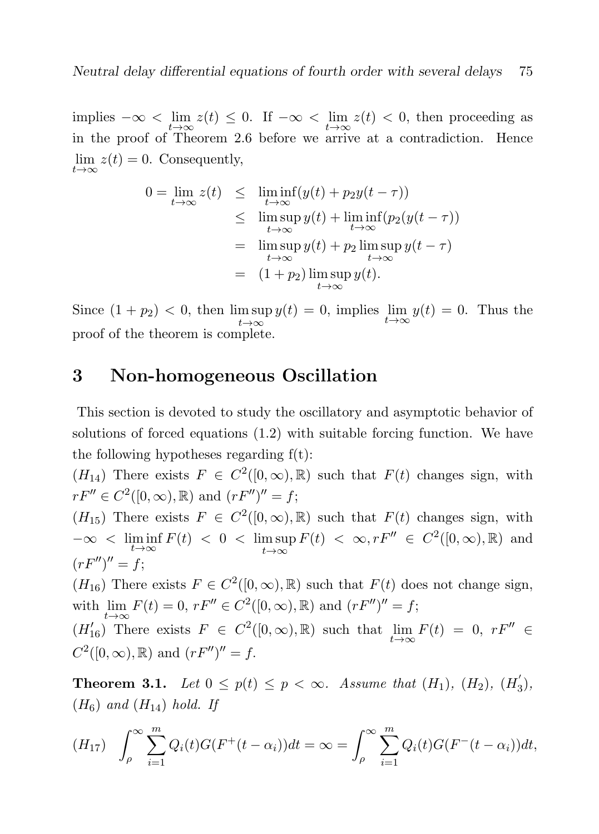implies  $-\infty < \lim_{t \to \infty} z(t) \leq 0$ . If  $-\infty < \lim_{t \to \infty} z(t) < 0$ , then proceeding as in the proof of Theorem 2.6 before we arrive at a contradiction. Hence  $\lim_{t\to\infty} z(t) = 0.$  Consequently,

$$
0 = \lim_{t \to \infty} z(t) \leq \liminf_{t \to \infty} (y(t) + p_2 y(t - \tau))
$$
  
\n
$$
\leq \limsup_{t \to \infty} y(t) + \liminf_{t \to \infty} (p_2(y(t - \tau))
$$
  
\n
$$
= \limsup_{t \to \infty} y(t) + p_2 \limsup_{t \to \infty} y(t - \tau)
$$
  
\n
$$
= (1 + p_2) \limsup_{t \to \infty} y(t).
$$

Since  $(1 + p_2) < 0$ , then  $\limsup_{t \to \infty} y(t) = 0$ , implies  $\lim_{t \to \infty} y(t) = 0$ . Thus the proof of the theorem is complete.

## 3 Non-homogeneous Oscillation

This section is devoted to study the oscillatory and asymptotic behavior of solutions of forced equations (1.2) with suitable forcing function. We have the following hypotheses regarding  $f(t)$ :

 $(H_{14})$  There exists  $F \in C^2([0,\infty),\mathbb{R})$  such that  $F(t)$  changes sign, with  $rF'' \in C^2([0,\infty),\mathbb{R})$  and  $(rF'')'' = f;$ 

 $(H_{15})$  There exists  $F \in C^2([0,\infty),\mathbb{R})$  such that  $F(t)$  changes sign, with  $-\infty < \liminf_{t \to \infty} F(t) < 0 < \limsup_{t \to \infty}$  $t\rightarrow\infty$  $F(t) < \infty, rF'' \in C^2([0,\infty),\mathbb{R})$  and  $(rF'')'' = f;$ 

 $(H_{16})$  There exists  $F \in C^2([0,\infty),\mathbb{R})$  such that  $F(t)$  does not change sign, with  $\lim F(t) = 0, rF'' \in C^2([0,\infty),\mathbb{R})$  and  $(rF'')'' = f;$ 

 $(t\rightarrow\infty$ <br>  $(H'_{16})$  There exists  $F \in C^2([0,\infty),\mathbb{R})$  such that  $\lim_{t\rightarrow\infty} F(t) = 0$ ,  $rF'' \in$  $C^2([0,\infty),\mathbb{R})$  and  $(rF'')''=f$ .

**Theorem 3.1.** Let  $0 \leq p(t) \leq p < \infty$ . Assume that  $(H_1)$ ,  $(H_2)$ ,  $(H_3)$  $\binom{1}{3}$ ,  $(H_6)$  and  $(H_{14})$  hold. If

$$
(H_{17}) \quad \int_{\rho}^{\infty} \sum_{i=1}^{m} Q_i(t) G(F^+(t-\alpha_i)) dt = \infty = \int_{\rho}^{\infty} \sum_{i=1}^{m} Q_i(t) G(F^-(t-\alpha_i)) dt,
$$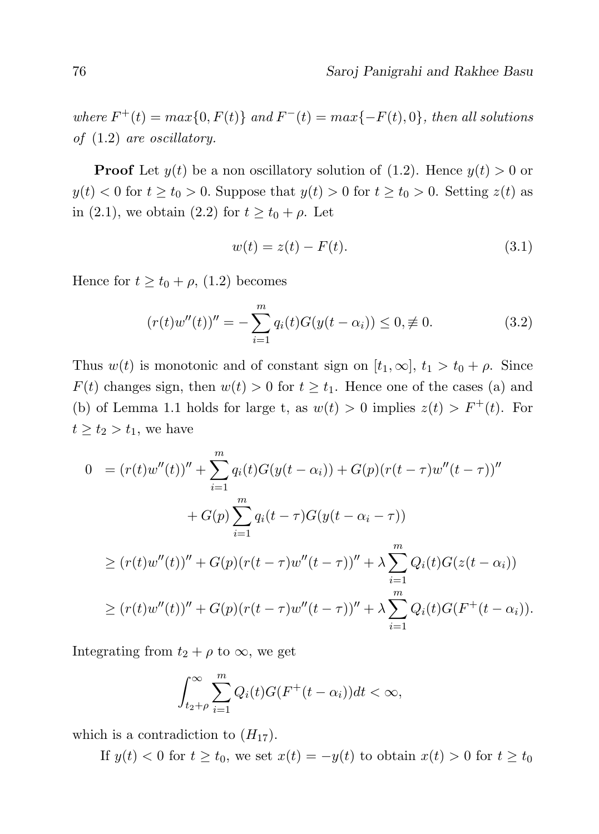where  $F^+(t) = max\{0, F(t)\}$  and  $F^-(t) = max\{-F(t), 0\}$ , then all solutions of (1.2) are oscillatory.

**Proof** Let  $y(t)$  be a non oscillatory solution of (1.2). Hence  $y(t) > 0$  or  $y(t) < 0$  for  $t \ge t_0 > 0$ . Suppose that  $y(t) > 0$  for  $t \ge t_0 > 0$ . Setting  $z(t)$  as in (2.1), we obtain (2.2) for  $t \ge t_0 + \rho$ . Let

$$
w(t) = z(t) - F(t).
$$
\n(3.1)

Hence for  $t \ge t_0 + \rho$ , (1.2) becomes

$$
(r(t)w''(t))'' = -\sum_{i=1}^{m} q_i(t)G(y(t-\alpha_i)) \le 0, \neq 0.
$$
 (3.2)

Thus  $w(t)$  is monotonic and of constant sign on  $[t_1, \infty]$ ,  $t_1 > t_0 + \rho$ . Since  $F(t)$  changes sign, then  $w(t) > 0$  for  $t \geq t_1$ . Hence one of the cases (a) and (b) of Lemma 1.1 holds for large t, as  $w(t) > 0$  implies  $z(t) > F^+(t)$ . For  $t \geq t_2 > t_1$ , we have

$$
0 = (r(t)w''(t))'' + \sum_{i=1}^{m} q_i(t)G(y(t-\alpha_i)) + G(p)(r(t-\tau)w''(t-\tau))''
$$
  
+ 
$$
G(p) \sum_{i=1}^{m} q_i(t-\tau)G(y(t-\alpha_i-\tau))
$$
  

$$
\ge (r(t)w''(t))'' + G(p)(r(t-\tau)w''(t-\tau))'' + \lambda \sum_{i=1}^{m} Q_i(t)G(z(t-\alpha_i))
$$
  

$$
\ge (r(t)w''(t))'' + G(p)(r(t-\tau)w''(t-\tau))'' + \lambda \sum_{i=1}^{m} Q_i(t)G(F^+(t-\alpha_i)).
$$

Integrating from  $t_2 + \rho$  to  $\infty$ , we get

$$
\int_{t_2+\rho}^{\infty}\sum_{i=1}^m Q_i(t)G(F^+(t-\alpha_i))dt < \infty,
$$

which is a contradiction to  $(H_{17})$ .

If  $y(t) < 0$  for  $t \ge t_0$ , we set  $x(t) = -y(t)$  to obtain  $x(t) > 0$  for  $t \ge t_0$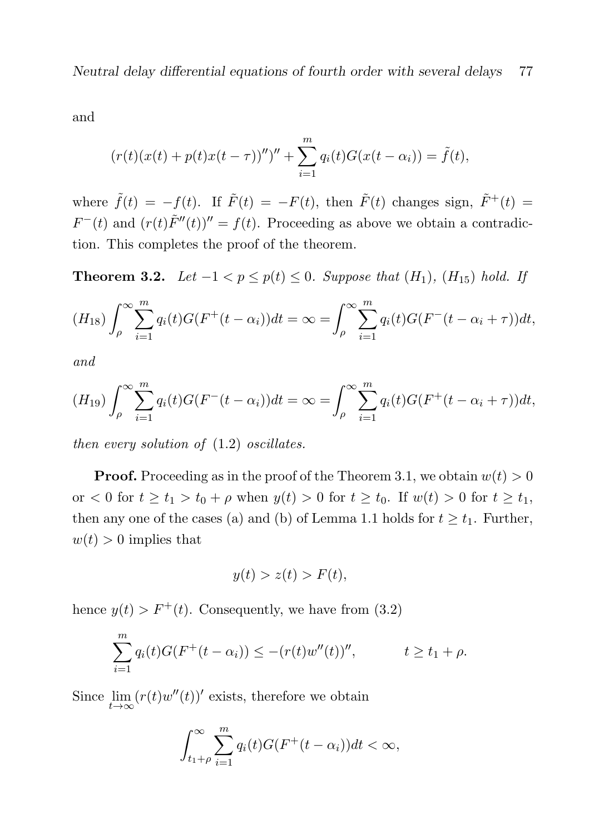Neutral delay differential equations of fourth order with several delays 77

and

$$
(r(t)(x(t) + p(t)x(t - \tau)))'' + \sum_{i=1}^{m} q_i(t)G(x(t - \alpha_i)) = \tilde{f}(t),
$$

where  $\tilde{f}(t) = -f(t)$ . If  $\tilde{F}(t) = -F(t)$ , then  $\tilde{F}(t)$  changes sign,  $\tilde{F}^+(t) =$  $F^-(t)$  and  $(r(t)\tilde{F}''(t))'' = f(t)$ . Proceeding as above we obtain a contradiction. This completes the proof of the theorem.

**Theorem 3.2.** Let  $-1 < p \leq p(t) \leq 0$ . Suppose that  $(H_1)$ ,  $(H_{15})$  hold. If

$$
(H_{18}) \int_{\rho}^{\infty} \sum_{i=1}^{m} q_i(t) G(F^+(t-\alpha_i)) dt = \infty = \int_{\rho}^{\infty} \sum_{i=1}^{m} q_i(t) G(F^-(t-\alpha_i+\tau)) dt,
$$

and

$$
(H_{19}) \int_{\rho}^{\infty} \sum_{i=1}^{m} q_i(t) G(F^-(t-\alpha_i)) dt = \infty = \int_{\rho}^{\infty} \sum_{i=1}^{m} q_i(t) G(F^+(t-\alpha_i+\tau)) dt,
$$

then every solution of (1.2) oscillates.

**Proof.** Proceeding as in the proof of the Theorem 3.1, we obtain  $w(t) > 0$ or  $0 \leq t \leq t_1 > t_0 + \rho$  when  $y(t) > 0$  for  $t \geq t_0$ . If  $w(t) > 0$  for  $t \geq t_1$ , then any one of the cases (a) and (b) of Lemma 1.1 holds for  $t \geq t_1$ . Further,  $w(t) > 0$  implies that

$$
y(t) > z(t) > F(t),
$$

hence  $y(t) > F^+(t)$ . Consequently, we have from (3.2)

$$
\sum_{i=1}^{m} q_i(t) G(F^+(t-\alpha_i)) \leq -(r(t)w''(t))''', \qquad t \geq t_1 + \rho.
$$

Since  $\lim_{t\to\infty} (r(t)w''(t))'$  exists, therefore we obtain

$$
\int_{t_1+\rho}^{\infty} \sum_{i=1}^{m} q_i(t) G(F^+(t-\alpha_i)) dt < \infty,
$$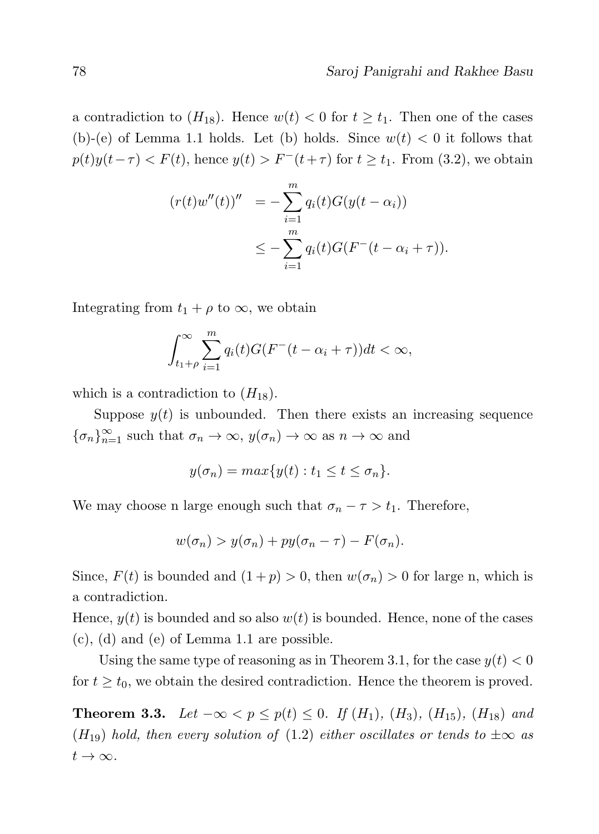a contradiction to  $(H_{18})$ . Hence  $w(t) < 0$  for  $t \geq t_1$ . Then one of the cases (b)-(e) of Lemma 1.1 holds. Let (b) holds. Since  $w(t) < 0$  it follows that  $p(t)y(t-\tau) < F(t)$ , hence  $y(t) > F^{-}(t+\tau)$  for  $t \geq t_1$ . From (3.2), we obtain

$$
(r(t)w''(t))'' = -\sum_{i=1}^{m} q_i(t)G(y(t - \alpha_i))
$$
  

$$
\leq -\sum_{i=1}^{m} q_i(t)G(F^-(t - \alpha_i + \tau)).
$$

Integrating from  $t_1 + \rho$  to  $\infty$ , we obtain

$$
\int_{t_1+\rho}^{\infty} \sum_{i=1}^{m} q_i(t) G(F^-(t-\alpha_i+\tau)) dt < \infty,
$$

which is a contradiction to  $(H_{18})$ .

Suppose  $y(t)$  is unbounded. Then there exists an increasing sequence  ${\{\sigma_n\}}_{n=1}^{\infty}$  such that  $\sigma_n \to \infty$ ,  $y(\sigma_n) \to \infty$  as  $n \to \infty$  and

$$
y(\sigma_n) = \max\{y(t) : t_1 \le t \le \sigma_n\}.
$$

We may choose n large enough such that  $\sigma_n - \tau > t_1$ . Therefore,

$$
w(\sigma_n) > y(\sigma_n) + py(\sigma_n - \tau) - F(\sigma_n).
$$

Since,  $F(t)$  is bounded and  $(1+p) > 0$ , then  $w(\sigma_n) > 0$  for large n, which is a contradiction.

Hence,  $y(t)$  is bounded and so also  $w(t)$  is bounded. Hence, none of the cases (c), (d) and (e) of Lemma 1.1 are possible.

Using the same type of reasoning as in Theorem 3.1, for the case  $y(t) < 0$ for  $t \geq t_0$ , we obtain the desired contradiction. Hence the theorem is proved.

Theorem 3.3. Let  $-\infty < p \le p(t) \le 0$ . If  $(H_1)$ ,  $(H_3)$ ,  $(H_{15})$ ,  $(H_{18})$  and  $(H_{19})$  hold, then every solution of (1.2) either oscillates or tends to  $\pm \infty$  as  $t\to\infty$ .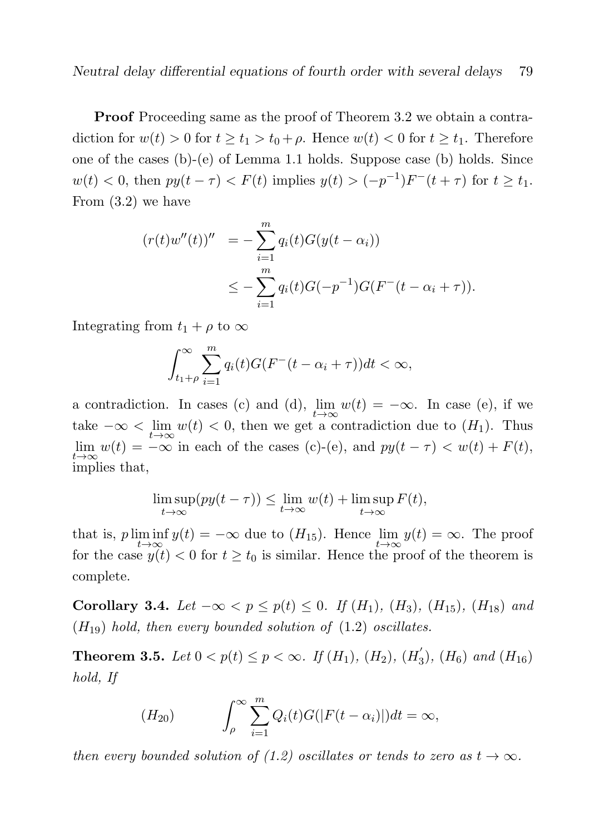**Proof** Proceeding same as the proof of Theorem 3.2 we obtain a contradiction for  $w(t) > 0$  for  $t \ge t_1 > t_0 + \rho$ . Hence  $w(t) < 0$  for  $t \ge t_1$ . Therefore one of the cases (b)-(e) of Lemma 1.1 holds. Suppose case (b) holds. Since  $w(t) < 0$ , then  $py(t - \tau) < F(t)$  implies  $y(t) > (-p^{-1})F^{-}(t + \tau)$  for  $t \geq t_1$ . From (3.2) we have

$$
(r(t)w''(t))'' = -\sum_{i=1}^{m} q_i(t)G(y(t - \alpha_i))
$$
  
 
$$
\leq -\sum_{i=1}^{m} q_i(t)G(-p^{-1})G(F^{-}(t - \alpha_i + \tau)).
$$

Integrating from  $t_1 + \rho$  to  $\infty$ 

$$
\int_{t_1+\rho}^{\infty}\sum_{i=1}^m q_i(t)G(F^-(t-\alpha_i+\tau))dt < \infty,
$$

a contradiction. In cases (c) and (d),  $\lim_{t\to\infty} w(t) = -\infty$ . In case (e), if we take  $-\infty < \lim_{t\to\infty} w(t) < 0$ , then we get a contradiction due to  $(H_1)$ . Thus  $\lim_{t\to\infty} w(t) = -\infty$  in each of the cases (c)-(e), and  $py(t-\tau) < w(t) + F(t)$ , implies that,

$$
\limsup_{t \to \infty} (py(t - \tau)) \le \lim_{t \to \infty} w(t) + \limsup_{t \to \infty} F(t),
$$

that is,  $p \liminf_{t \to \infty} y(t) = -\infty$  due to  $(H_{15})$ . Hence  $\lim_{t \to \infty} y(t) = \infty$ . The proof for the case  $y(t) < 0$  for  $t \ge t_0$  is similar. Hence the proof of the theorem is complete.

Corollary 3.4. Let  $-\infty < p \leq p(t) \leq 0$ . If  $(H_1)$ ,  $(H_3)$ ,  $(H_{15})$ ,  $(H_{18})$  and  $(H_{19})$  hold, then every bounded solution of  $(1.2)$  oscillates.

**Theorem 3.5.** Let  $0 < p(t) \le p < \infty$ . If  $(H_1)$ ,  $(H_2)$ ,  $(H_3)$  $_3^{\prime}$ ),  $(H_6)$  and  $(H_{16})$ hold, If

$$
(H_{20}) \qquad \int_{\rho}^{\infty} \sum_{i=1}^{m} Q_i(t) G(|F(t-\alpha_i)|) dt = \infty,
$$

then every bounded solution of (1.2) oscillates or tends to zero as  $t \to \infty$ .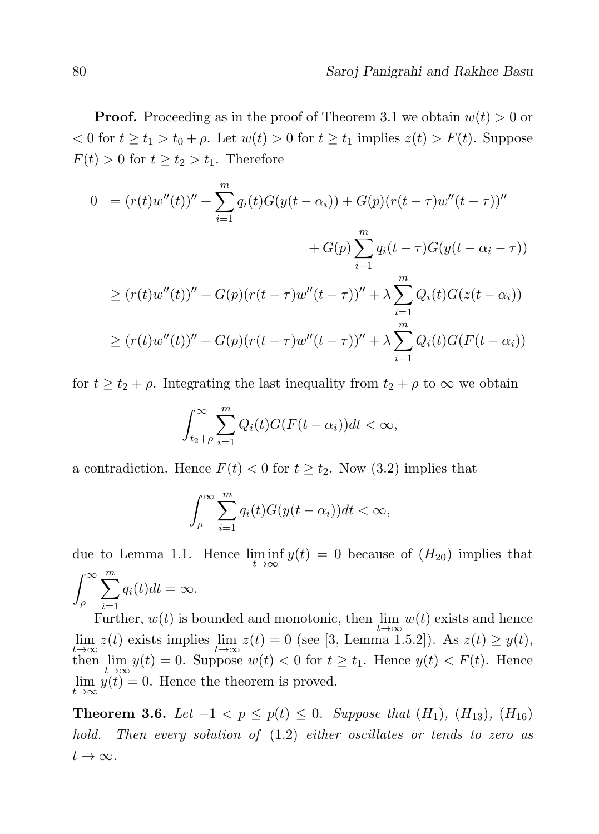**Proof.** Proceeding as in the proof of Theorem 3.1 we obtain  $w(t) > 0$  or  $0 \leq t \leq t_1 > t_0 + \rho$ . Let  $w(t) > 0$  for  $t \geq t_1$  implies  $z(t) > F(t)$ . Suppose  $F(t) > 0$  for  $t \ge t_2 > t_1$ . Therefore

$$
0 = (r(t)w''(t))'' + \sum_{i=1}^{m} q_i(t)G(y(t-\alpha_i)) + G(p)(r(t-\tau)w''(t-\tau))''
$$
  
+ 
$$
G(p) \sum_{i=1}^{m} q_i(t-\tau)G(y(t-\alpha_i-\tau))
$$
  

$$
\ge (r(t)w''(t))'' + G(p)(r(t-\tau)w''(t-\tau))'' + \lambda \sum_{i=1}^{m} Q_i(t)G(z(t-\alpha_i))
$$
  

$$
\ge (r(t)w''(t))'' + G(p)(r(t-\tau)w''(t-\tau))'' + \lambda \sum_{i=1}^{m} Q_i(t)G(F(t-\alpha_i))
$$

for  $t \geq t_2 + \rho$ . Integrating the last inequality from  $t_2 + \rho$  to  $\infty$  we obtain

$$
\int_{t_2+\rho}^{\infty} \sum_{i=1}^{m} Q_i(t) G(F(t-\alpha_i)) dt < \infty,
$$

a contradiction. Hence  $F(t) < 0$  for  $t \ge t_2$ . Now (3.2) implies that

$$
\int_{\rho}^{\infty} \sum_{i=1}^{m} q_i(t) G(y(t-\alpha_i)) dt < \infty,
$$

due to Lemma 1.1. Hence  $\liminf_{t\to\infty} y(t) = 0$  because of  $(H_{20})$  implies that  $\int^{\infty}$ ρ  $\sum_{ }^{\infty}$  $\frac{i=1}{i}$  $q_i(t)dt = \infty.$ 

Further,  $w(t)$  is bounded and monotonic, then  $\lim_{t\to\infty} w(t)$  exists and hence  $\lim_{t \to \infty} z(t)$  exists implies  $\lim_{t \to \infty} z(t) = 0$  (see [3, Lemma 1.5.2]). As  $z(t) \ge y(t)$ , then  $\lim_{t \to \infty} y(t) = 0$ . Suppose  $w(t) < 0$  for  $t \ge t_1$ . Hence  $y(t) < F(t)$ . Hence  $\lim_{t\to\infty} y(t) = 0.$  Hence the theorem is proved.

**Theorem 3.6.** Let  $-1 < p ≤ p(t) ≤ 0$ . Suppose that  $(H_1)$ ,  $(H_{13})$ ,  $(H_{16})$ hold. Then every solution of  $(1.2)$  either oscillates or tends to zero as  $t\to\infty$ .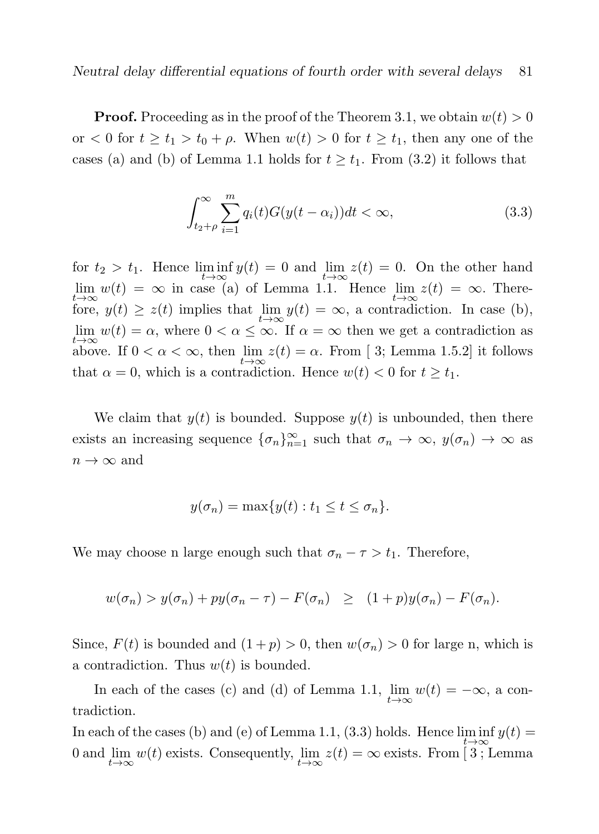**Proof.** Proceeding as in the proof of the Theorem 3.1, we obtain  $w(t) > 0$ or  $0 \leq t \leq t_1 > t_0 + \rho$ . When  $w(t) > 0$  for  $t \geq t_1$ , then any one of the cases (a) and (b) of Lemma 1.1 holds for  $t \geq t_1$ . From (3.2) it follows that

$$
\int_{t_2+\rho}^{\infty} \sum_{i=1}^{m} q_i(t) G(y(t-\alpha_i)) dt < \infty,
$$
\n(3.3)

for  $t_2 > t_1$ . Hence  $\liminf_{t \to \infty} y(t) = 0$  and  $\lim_{t \to \infty} z(t) = 0$ . On the other hand  $\lim_{t\to\infty} w(t) = \infty$  in case (a) of Lemma 1.1. Hence  $\lim_{t\to\infty} z(t) = \infty$ . Therefore,  $y(t) \ge z(t)$  implies that  $\lim_{t \to \infty} y(t) = \infty$ , a contradiction. In case (b),  $\lim_{t\to\infty} w(t) = \alpha$ , where  $0 < \alpha \leq \infty$ . If  $\alpha = \infty$  then we get a contradiction as above. If  $0 < \alpha < \infty$ , then  $\lim_{t \to \infty} z(t) = \alpha$ . From [3; Lemma 1.5.2] it follows that  $\alpha = 0$ , which is a contradiction. Hence  $w(t) < 0$  for  $t \geq t_1$ .

We claim that  $y(t)$  is bounded. Suppose  $y(t)$  is unbounded, then there exists an increasing sequence  $\{\sigma_n\}_{n=1}^{\infty}$  such that  $\sigma_n \to \infty$ ,  $y(\sigma_n) \to \infty$  as  $n \to \infty$  and

$$
y(\sigma_n) = \max\{y(t) : t_1 \le t \le \sigma_n\}.
$$

We may choose n large enough such that  $\sigma_n - \tau > t_1$ . Therefore,

$$
w(\sigma_n) > y(\sigma_n) + py(\sigma_n - \tau) - F(\sigma_n) \geq (1+p)y(\sigma_n) - F(\sigma_n).
$$

Since,  $F(t)$  is bounded and  $(1+p) > 0$ , then  $w(\sigma_n) > 0$  for large n, which is a contradiction. Thus  $w(t)$  is bounded.

In each of the cases (c) and (d) of Lemma 1.1,  $\lim_{t\to\infty} w(t) = -\infty$ , a contradiction.

In each of the cases (b) and (e) of Lemma 1.1, (3.3) holds. Hence  $\liminf y(t) =$ 0 and  $\lim_{t\to\infty} w(t)$  exists. Consequently,  $\lim_{t\to\infty} z(t) = \infty$  exists. From [3; Lemma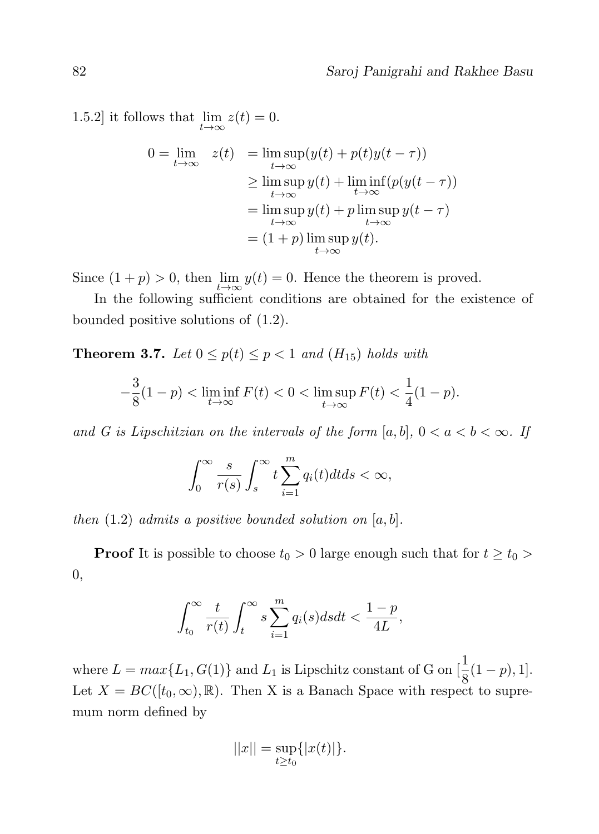1.5.2] it follows that  $\lim_{t\to\infty} z(t) = 0.$ 

$$
0 = \lim_{t \to \infty} z(t) = \lim_{t \to \infty} \sup(y(t) + p(t)y(t - \tau))
$$
  
\n
$$
\geq \limsup_{t \to \infty} y(t) + \liminf_{t \to \infty} (p(y(t - \tau))
$$
  
\n
$$
= \limsup_{t \to \infty} y(t) + p \limsup_{t \to \infty} y(t - \tau)
$$
  
\n
$$
= (1 + p) \limsup_{t \to \infty} y(t).
$$

Since  $(1 + p) > 0$ , then  $\lim_{t \to \infty} y(t) = 0$ . Hence the theorem is proved.

In the following sufficient conditions are obtained for the existence of bounded positive solutions of (1.2).

**Theorem 3.7.** Let  $0 \leq p(t) \leq p < 1$  and  $(H_{15})$  holds with

$$
-\frac{3}{8}(1-p) < \liminf_{t \to \infty} F(t) < 0 < \limsup_{t \to \infty} F(t) < \frac{1}{4}(1-p).
$$

and G is Lipschitzian on the intervals of the form  $[a, b]$ ,  $0 < a < b < \infty$ . If

$$
\int_0^\infty \frac{s}{r(s)} \int_s^\infty t \sum_{i=1}^m q_i(t) dt ds < \infty,
$$

then  $(1.2)$  admits a positive bounded solution on  $[a, b]$ .

**Proof** It is possible to choose  $t_0 > 0$  large enough such that for  $t \geq t_0$ 0,

$$
\int_{t_0}^{\infty} \frac{t}{r(t)} \int_t^{\infty} s \sum_{i=1}^m q_i(s) ds dt < \frac{1-p}{4L},
$$

where  $L = max\{L_1, G(1)\}\$  and  $L_1$  is Lipschitz constant of G on  $\left[\frac{1}{8}(1-p), 1\right]$ . Let  $X = BC([t_0, \infty), \mathbb{R})$ . Then X is a Banach Space with respect to supremum norm defined by

$$
||x|| = \sup_{t \ge t_0} \{|x(t)|\}.
$$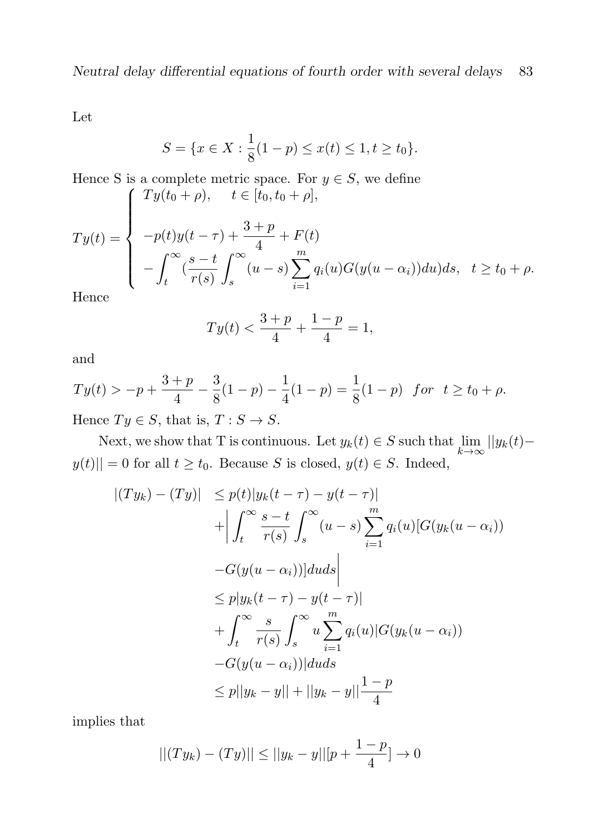Let

$$
S = \{x \in X : \frac{1}{8}(1-p) \le x(t) \le 1, t \ge t_0\}.
$$

Hence S is a complete metric space. For 
$$
y \in S
$$
, we define  
\n
$$
Ty(t) = \begin{cases}\nTy(t_0 + \rho), & t \in [t_0, t_0 + \rho], \\
-p(t)y(t - \tau) + \frac{3+p}{4} + F(t) \\
-\int_t^\infty (\frac{s-t}{r(s)} \int_s^\infty (u - s) \sum_{i=1}^m q_i(u)G(y(u - \alpha_i))du)ds, & t \ge t_0 + \rho.\n\end{cases}
$$

Hence

$$
Ty(t) < \frac{3+p}{4} + \frac{1-p}{4} = 1,
$$

and

$$
Ty(t) > -p + \frac{3+p}{4} - \frac{3}{8}(1-p) - \frac{1}{4}(1-p) = \frac{1}{8}(1-p) \text{ for } t \ge t_0 + \rho.
$$

Hence  $Ty \in S$ , that is,  $T : S \to S$ .

Next, we show that T is continuous. Let  $y_k(t) \in S$  such that  $\lim_{k \to \infty} ||y_k(t) |y(t)|| = 0$  for all  $t \ge t_0$ . Because S is closed,  $y(t) \in S$ . Indeed,

$$
\begin{aligned}\n|(Ty_k) - (Ty)| &\le p(t)|y_k(t-\tau) - y(t-\tau)| \\
&+ \left| \int_t^\infty \frac{s-t}{r(s)} \int_s^\infty (u-s) \sum_{i=1}^m q_i(u) [G(y_k(u-\alpha_i))] \\
&- G(y(u-\alpha_i))]duds \right| \\
&\le p|y_k(t-\tau) - y(t-\tau)| \\
&+ \int_t^\infty \frac{s}{r(s)} \int_s^\infty u \sum_{i=1}^m q_i(u) |G(y_k(u-\alpha_i))| \\
&- G(y(u-\alpha_i))|duds \\
&\le p||y_k - y|| + ||y_k - y|| \frac{1-p}{4}\n\end{aligned}
$$

implies that

$$
||(Ty_k) - (Ty)|| \le ||y_k - y|| [p + \frac{1-p}{4}] \to 0
$$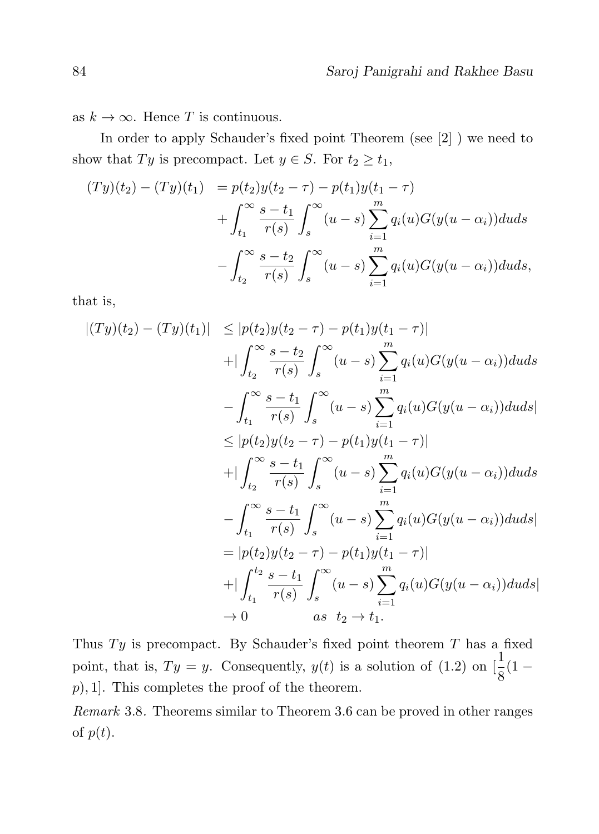as  $k \to \infty$ . Hence T is continuous.

In order to apply Schauder's fixed point Theorem (see [2] ) we need to show that Ty is precompact. Let  $y \in S$ . For  $t_2 \ge t_1$ ,

$$
(Ty)(t_2) - (Ty)(t_1) = p(t_2)y(t_2 - \tau) - p(t_1)y(t_1 - \tau) + \int_{t_1}^{\infty} \frac{s - t_1}{r(s)} \int_s^{\infty} (u - s) \sum_{i=1}^m q_i(u) G(y(u - \alpha_i)) du ds - \int_{t_2}^{\infty} \frac{s - t_2}{r(s)} \int_s^{\infty} (u - s) \sum_{i=1}^m q_i(u) G(y(u - \alpha_i)) du ds,
$$

that is,

$$
|(Ty)(t_2) - (Ty)(t_1)| \le |p(t_2)y(t_2 - \tau) - p(t_1)y(t_1 - \tau)|
$$
  
+ 
$$
\int_{t_2}^{\infty} \frac{s - t_2}{r(s)} \int_s^{\infty} (u - s) \sum_{i=1}^m q_i(u)G(y(u - \alpha_i))duds
$$
  
- 
$$
\int_{t_1}^{\infty} \frac{s - t_1}{r(s)} \int_s^{\infty} (u - s) \sum_{i=1}^m q_i(u)G(y(u - \alpha_i))duds
$$
  

$$
\le |p(t_2)y(t_2 - \tau) - p(t_1)y(t_1 - \tau)|
$$
  
+ 
$$
\int_{t_2}^{\infty} \frac{s - t_1}{r(s)} \int_s^{\infty} (u - s) \sum_{i=1}^m q_i(u)G(y(u - \alpha_i))duds
$$
  
- 
$$
\int_{t_1}^{\infty} \frac{s - t_1}{r(s)} \int_s^{\infty} (u - s) \sum_{i=1}^m q_i(u)G(y(u - \alpha_i))duds
$$
  
=  $|p(t_2)y(t_2 - \tau) - p(t_1)y(t_1 - \tau)|$   
+ 
$$
|\int_{t_1}^{t_2} \frac{s - t_1}{r(s)} \int_s^{\infty} (u - s) \sum_{i=1}^m q_i(u)G(y(u - \alpha_i))duds|
$$
  

$$
\to 0 \qquad \text{as } t_2 \to t_1.
$$

Thus  $Ty$  is precompact. By Schauder's fixed point theorem  $T$  has a fixed point, that is,  $Ty = y$ . Consequently,  $y(t)$  is a solution of (1.2) on  $\left[\frac{1}{8}(1-\right)$  $p$ , 1]. This completes the proof of the theorem.

Remark 3.8. Theorems similar to Theorem 3.6 can be proved in other ranges of  $p(t)$ .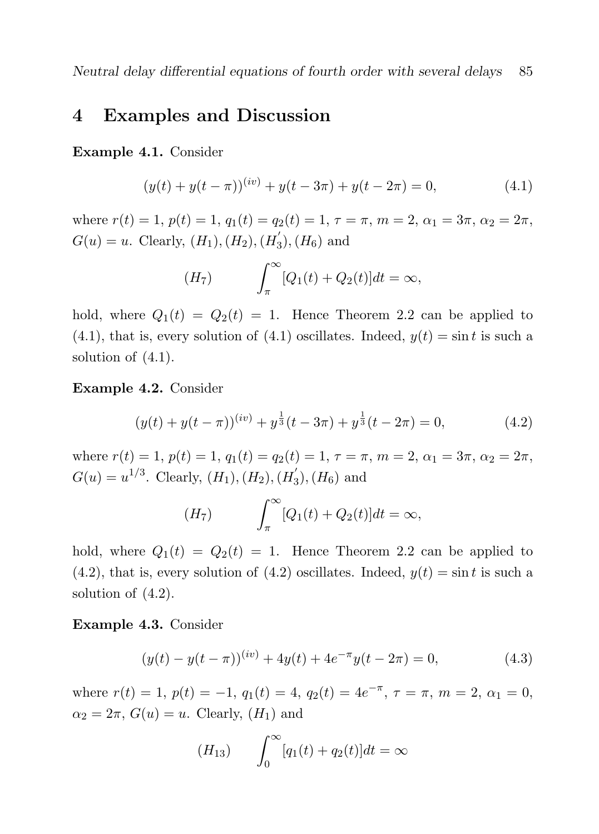### 4 Examples and Discussion

Example 4.1. Consider

$$
(y(t) + y(t - \pi))^{(iv)} + y(t - 3\pi) + y(t - 2\pi) = 0,
$$
\n(4.1)

where  $r(t) = 1$ ,  $p(t) = 1$ ,  $q_1(t) = q_2(t) = 1$ ,  $\tau = \pi$ ,  $m = 2$ ,  $\alpha_1 = 3\pi$ ,  $\alpha_2 = 2\pi$ ,  $G(u) = u$ . Clearly,  $(H_1), (H_2), (H'_3)$  $_3^{\prime}), (H_6)$  and

$$
(H7) \qquad \int_{\pi}^{\infty} [Q_1(t) + Q_2(t)]dt = \infty,
$$

hold, where  $Q_1(t) = Q_2(t) = 1$ . Hence Theorem 2.2 can be applied to  $(4.1)$ , that is, every solution of  $(4.1)$  oscillates. Indeed,  $y(t) = \sin t$  is such a solution of (4.1).

Example 4.2. Consider

$$
(y(t) + y(t - \pi))^{(iv)} + y^{\frac{1}{3}}(t - 3\pi) + y^{\frac{1}{3}}(t - 2\pi) = 0,
$$
 (4.2)

where  $r(t) = 1$ ,  $p(t) = 1$ ,  $q_1(t) = q_2(t) = 1$ ,  $\tau = \pi$ ,  $m = 2$ ,  $\alpha_1 = 3\pi$ ,  $\alpha_2 = 2\pi$ ,  $G(u) = u^{1/3}$ . Clearly,  $(H_1)$ ,  $(H_2)$ ,  $(H'_3)$  $_3^{\prime}), (H_6)$  and

$$
(H7) \qquad \int_{\pi}^{\infty} [Q_1(t) + Q_2(t)]dt = \infty,
$$

hold, where  $Q_1(t) = Q_2(t) = 1$ . Hence Theorem 2.2 can be applied to  $(4.2)$ , that is, every solution of  $(4.2)$  oscillates. Indeed,  $y(t) = \sin t$  is such a solution of (4.2).

#### Example 4.3. Consider

$$
(y(t) - y(t - \pi))^{(iv)} + 4y(t) + 4e^{-\pi}y(t - 2\pi) = 0,
$$
\n(4.3)

where  $r(t) = 1$ ,  $p(t) = -1$ ,  $q_1(t) = 4$ ,  $q_2(t) = 4e^{-\pi}$ ,  $\tau = \pi$ ,  $m = 2$ ,  $\alpha_1 = 0$ ,  $\alpha_2 = 2\pi$ ,  $G(u) = u$ . Clearly,  $(H_1)$  and

$$
(H_{13}) \qquad \int_0^\infty [q_1(t) + q_2(t)]dt = \infty
$$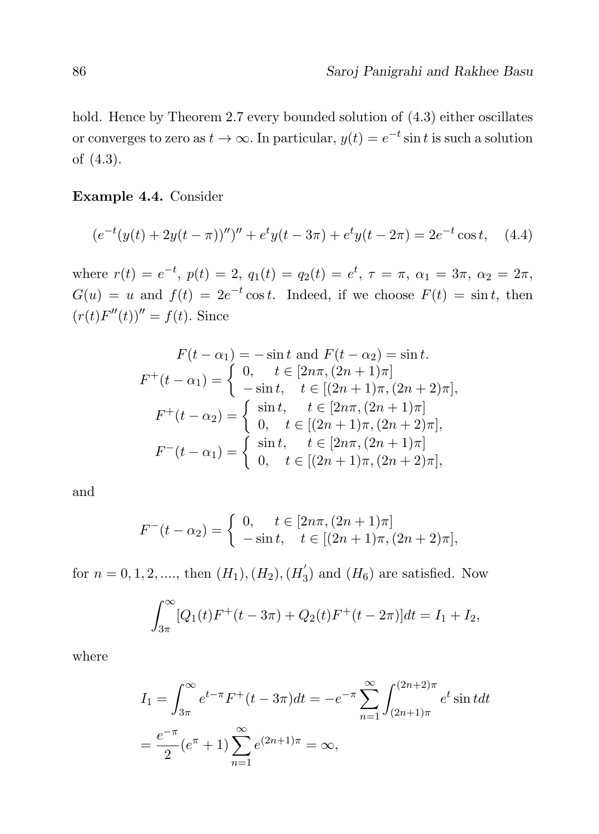hold. Hence by Theorem 2.7 every bounded solution of  $(4.3)$  either oscillates or converges to zero as  $t \to \infty$ . In particular,  $y(t) = e^{-t} \sin t$  is such a solution of (4.3).

#### Example 4.4. Consider

$$
(e^{-t}(y(t) + 2y(t - \pi))'')'' + e^{t}y(t - 3\pi) + e^{t}y(t - 2\pi) = 2e^{-t}\cos t, \quad (4.4)
$$

where  $r(t) = e^{-t}$ ,  $p(t) = 2$ ,  $q_1(t) = q_2(t) = e^{t}$ ,  $\tau = \pi$ ,  $\alpha_1 = 3\pi$ ,  $\alpha_2 = 2\pi$ ,  $G(u) = u$  and  $f(t) = 2e^{-t}\cos t$ . Indeed, if we choose  $F(t) = \sin t$ , then  $(r(t)F''(t))'' = f(t)$ . Since

$$
F(t - \alpha_1) = -\sin t \text{ and } F(t - \alpha_2) = \sin t.
$$
  
\n
$$
F^+(t - \alpha_1) = \begin{cases} 0, & t \in [2n\pi, (2n+1)\pi] \\ -\sin t, & t \in [(2n+1)\pi, (2n+2)\pi], \end{cases}
$$
  
\n
$$
F^+(t - \alpha_2) = \begin{cases} \sin t, & t \in [2n\pi, (2n+1)\pi] \\ 0, & t \in [(2n+1)\pi, (2n+2)\pi], \end{cases}
$$
  
\n
$$
F^-(t - \alpha_1) = \begin{cases} \sin t, & t \in [2n\pi, (2n+1)\pi] \\ 0, & t \in [(2n+1)\pi, (2n+2)\pi], \end{cases}
$$

and

$$
F^{-}(t - \alpha_2) = \begin{cases} 0, & t \in [2n\pi, (2n+1)\pi] \\ -\sin t, & t \in [(2n+1)\pi, (2n+2)\pi], \end{cases}
$$

for  $n = 0, 1, 2, \dots,$  then  $(H_1), (H_2), (H_3)$  $\sigma_3$ ) and  $(H_6)$  are satisfied. Now

$$
\int_{3\pi}^{\infty} [Q_1(t)F^+(t-3\pi) + Q_2(t)F^+(t-2\pi)]dt = I_1 + I_2,
$$

where

$$
I_1 = \int_{3\pi}^{\infty} e^{t-\pi} F^+(t-3\pi) dt = -e^{-\pi} \sum_{n=1}^{\infty} \int_{(2n+1)\pi}^{(2n+2)\pi} e^t \sin t dt
$$
  
=  $\frac{e^{-\pi}}{2} (e^{\pi} + 1) \sum_{n=1}^{\infty} e^{(2n+1)\pi} = \infty$ ,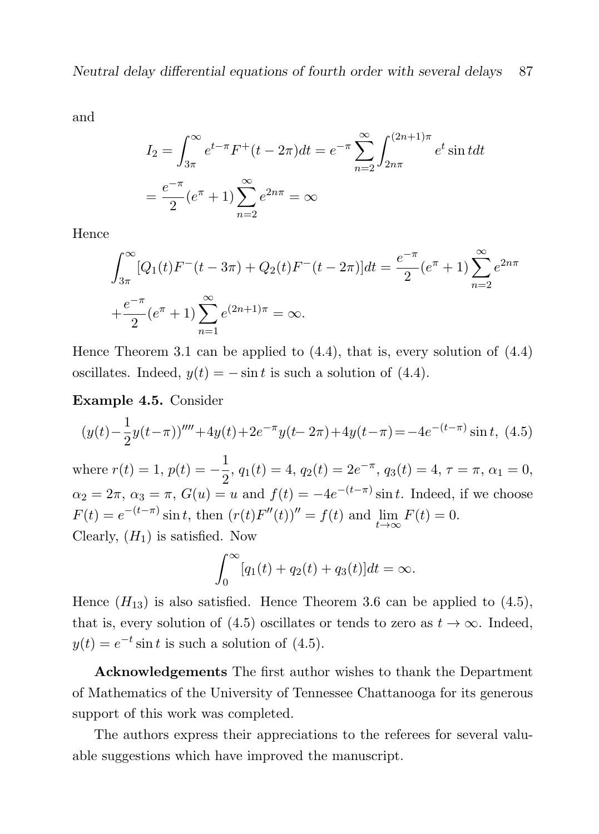and

$$
I_2 = \int_{3\pi}^{\infty} e^{t-\pi} F^+(t - 2\pi) dt = e^{-\pi} \sum_{n=2}^{\infty} \int_{2n\pi}^{(2n+1)\pi} e^t \sin t dt
$$
  
=  $\frac{e^{-\pi}}{2} (e^{\pi} + 1) \sum_{n=2}^{\infty} e^{2n\pi} = \infty$ 

Hence

$$
\int_{3\pi}^{\infty} [Q_1(t)F^-(t-3\pi) + Q_2(t)F^-(t-2\pi)]dt = \frac{e^{-\pi}}{2}(e^{\pi}+1)\sum_{n=2}^{\infty} e^{2n\pi} + \frac{e^{-\pi}}{2}(e^{\pi}+1)\sum_{n=1}^{\infty} e^{(2n+1)\pi} = \infty.
$$

Hence Theorem 3.1 can be applied to  $(4.4)$ , that is, every solution of  $(4.4)$ oscillates. Indeed,  $y(t) = -\sin t$  is such a solution of (4.4).

Example 4.5. Consider

$$
(y(t) - \frac{1}{2}y(t-\pi))''' + 4y(t) + 2e^{-\pi}y(t-2\pi) + 4y(t-\pi) = -4e^{-(t-\pi)}\sin t, \tag{4.5}
$$

where  $r(t) = 1, p(t) = -\frac{1}{2}$  $\frac{1}{2}$ ,  $q_1(t) = 4$ ,  $q_2(t) = 2e^{-\pi}$ ,  $q_3(t) = 4$ ,  $\tau = \pi$ ,  $\alpha_1 = 0$ ,  $\alpha_2 = 2\pi, \, \alpha_3 = \pi, \, G(u) = u$  and  $f(t) = -4e^{-(t-\pi)} \sin t$ . Indeed, if we choose  $F(t) = e^{-(t-\pi)} \sin t$ , then  $(r(t)F''(t))'' = f(t)$  and  $\lim_{t \to \infty} F(t) = 0$ . Clearly,  $(H_1)$  is satisfied. Now

$$
\int_0^\infty [q_1(t) + q_2(t) + q_3(t)]dt = \infty.
$$

Hence  $(H_{13})$  is also satisfied. Hence Theorem 3.6 can be applied to  $(4.5)$ , that is, every solution of (4.5) oscillates or tends to zero as  $t \to \infty$ . Indeed,  $y(t) = e^{-t} \sin t$  is such a solution of (4.5).

Acknowledgements The first author wishes to thank the Department of Mathematics of the University of Tennessee Chattanooga for its generous support of this work was completed.

The authors express their appreciations to the referees for several valuable suggestions which have improved the manuscript.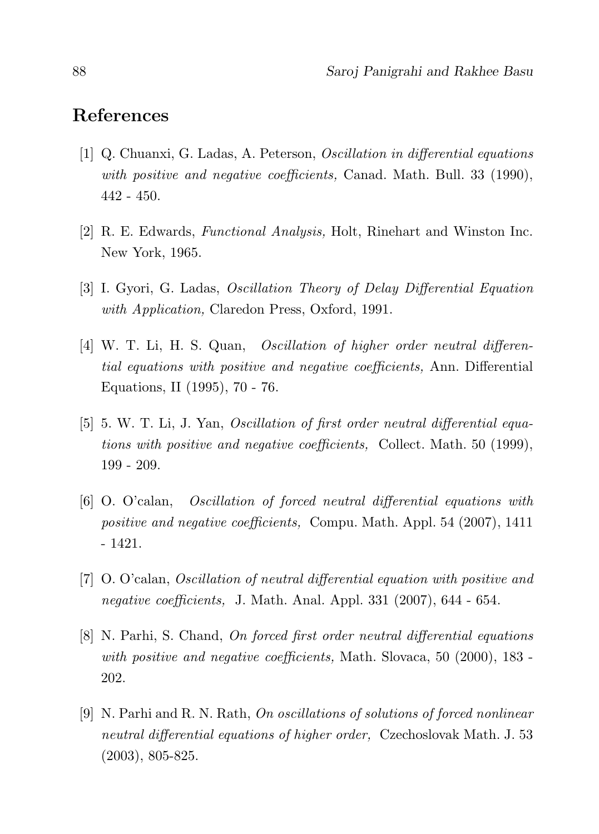## References

- [1] Q. Chuanxi, G. Ladas, A. Peterson, Oscillation in differential equations with positive and negative coefficients, Canad. Math. Bull. 33 (1990), 442 - 450.
- [2] R. E. Edwards, Functional Analysis, Holt, Rinehart and Winston Inc. New York, 1965.
- [3] I. Gyori, G. Ladas, Oscillation Theory of Delay Differential Equation with Application, Claredon Press, Oxford, 1991.
- [4] W. T. Li, H. S. Quan, Oscillation of higher order neutral differential equations with positive and negative coefficients, Ann. Differential Equations, II (1995), 70 - 76.
- [5] 5. W. T. Li, J. Yan, Oscillation of first order neutral differential equations with positive and negative coefficients, Collect. Math. 50 (1999), 199 - 209.
- [6] O. O'calan, Oscillation of forced neutral differential equations with positive and negative coefficients, Compu. Math. Appl. 54 (2007), 1411 - 1421.
- [7] O. O'calan, Oscillation of neutral differential equation with positive and negative coefficients, J. Math. Anal. Appl. 331 (2007), 644 - 654.
- [8] N. Parhi, S. Chand, On forced first order neutral differential equations with positive and negative coefficients, Math. Slovaca, 50 (2000), 183 -202.
- [9] N. Parhi and R. N. Rath, On oscillations of solutions of forced nonlinear neutral differential equations of higher order, Czechoslovak Math. J. 53 (2003), 805-825.